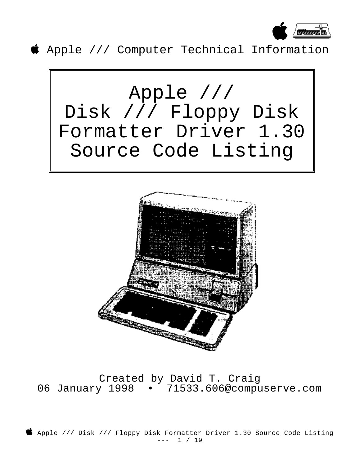

Apple /// Computer Technical Information





Created by David T. Craig 06 January 1998 · 71533.606@compuserve.com

 Apple /// Disk /// Floppy Disk Formatter Driver 1.30 Source Code Listing --- 1 / 19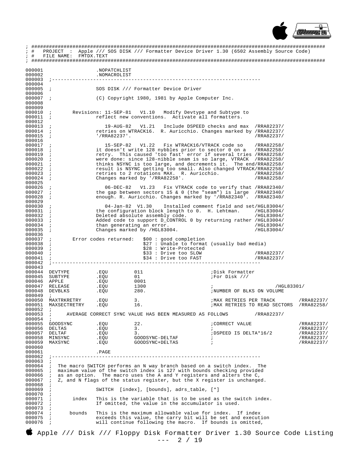

Fig. 1.30 (6502 Assembly Source Code)<br>
Fig. 1.30 (6502 Assembly Source Code)<br>
The FILE NAME: FMTDX.TEXT 000001 . NOPATCHLIST 000002 .NOMACROLIST 000003 000004 000005 SOS DISK /// Formatter Device Driver  $000006$ (C) Copyright 1980, 1981 by Apple Computer Inc. 000007  $\cdot$  $000008$ 000009  $\cdot$  ; 000010 Revisions: 11-SEP-81 V1.10 Modify Devtype and Subtype to reflect new conventions. Activate all formatters. 000011  $\cdot$  :  $000012$ 19-AUG-82 V1.21 Include DSPEED checks and max /RRA82237/<br>retries on WTRACK16. R. Auricchio. Changes marked by /RRA82237/ 000013  $000014$  $\cdot$  ; 000015  $'/RRA82237'.$ /RRA82237/  $\cdot$  ; 000016 15-SEP-82 V1.22 Fix WTRACK16/VTRACK code so 000017 /RRA82258/  $000018$  ; it doesn't write 128 nybbles prior to sector 0 on a /RRA82258/ retry. This caused 'too fast' error if several tries /RRA82258/<br>were done: since 128-nibble seam is so large, VTRACK /RRA82258/<br>thinks NSYNC is too large, and decrements it. The end/RRA82258/ 000019  $000020$ 000021 result is NSYNC getting too small. Also changed VTRACK/RRA82258/<br>retries to 2 rotations MAX. R. Auricchio. (RRA82258/ 000022  $000023$ Changes marked by '/RRA82258'. 000024 /RRA82258/ 000025 06-DEC-82 V1.23 Fix VTRACK code to verify that /RRA82340/ 000026 the gap between sectors 15 & 0 (the "seam") is large /RRA82340/<br>enough. R. Auricchio. Changes marked by '/RRA82340'. /RRA82340/ 000027 000028  $\ddot{i}$ 000029  $000030$  $04 - Jan - 82$  V1.30 Installed comment field and set/HGL83004/ the configuration block length to 0. H. Lehtman. 000031 /HGL83004/  $000032$ Deleted absolute assembly code.  $/HGT.83004$ 000033 Added code to support D\_CONTROL 0 by returning rather /HGL83004/  $\cdot$ : 000034 than generating an error. /HGL83004/ Changes marked by /HGL83004. 000035 /HGL83004/ 000036 Error codes returned: \$00 : good completion<br>\$27 : Unable to format (usually bad media) 000037  $\cdot$  : 000038 \$28 : Write-Protected 000039  $\cdot$ : \$33 : Drive too SLOW 000040  $\cdot$  : /RRA82237/ \$34 : Drive too FAST  $000041$  $\cdot$  : /RRA82237/  $000042$  $000043$ .EOU  $000044$  DEVTYPE 011 ;Disk Formatter 000045 SUBTYPE .EQU  $\cap$  1 :For Disk /// 000046 APPLE .EQU 0001 RELEASE  $000047$ .EQU  $1300$  $/$ HGT.83301/  $\cdot$  $000048$ DEVBLKS .EQU 280. ; NUMBER OF BLKS ON VOLUME 000049 /RRA82237/ 000050 MAXTRKRETRY .EQU  $\mathcal{R}$ ; MAX RETRIES PER TRACK MAX RETRIES TO READ SECTORS /RRA82258/ .EQU 000051 MAXSECTRETRY  $16.$ 000052  $\ddot{i}$  $000053$ AVERAGE CORRECT SYNC VALUE HAS BEEN MEASURED AS FOLLOWS /RRA82237/ 000054 GOODSYNC 000055 .EOU  $22.$ ; CORRECT VALUE /RRA82237/ 000056 DELTAS /RRA82237/ .EOU  $3.$ ; DSPEED IS DELTA\*16/2 000057 DELTAF .EQU  $3.$ /RRA82237/ 000058 MINSYNC .EQU GOODSYNC-DELTAF /RRA82237 000059 GOODSYNC+DELTAS MAXSYNC .EQU /RRA82237/ 000060 000061 . PAGE 000062 ; ---------------000063  $\cdot$ : The macro SWITCH performs an N way branch based on a switch index. The maximum value of the switch index is 127 with bounds checking provided 000064 The 000065 000066 as an option. The macro uses the A and Y registers and alters the C,  $\ddot{i}$ 000067 ; Z, and N flags of the status register, but the X register is unchanged. 000068 000069 SWITCH [index], [bounds], adrs table, [\*] 000070 000071 This is the variable that is to be used as the switch index.  $\cdot$ index If omitted, the value in the accumulator is used. 000072 000073  $000074$ hounds This is the maximum allowable value for index. If index  $\cdot$ : 000075 exceeds this value, the carry bit will be set and execution  $\cdot$  : 000076 will continue following the macro. If bounds is omitted,  $\cdot$  :

Apple /// Disk /// Floppy Disk Formatter Driver 1.30 Source Code Listing  $--- 2 / 19$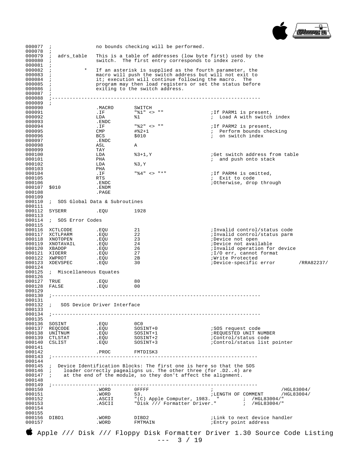

| $\cdot$<br>$\ddot{i}$<br>$\cdot$ ;<br>000082 i<br>$\ddot{i}$<br>$\cdot$<br>$000085$ ;<br>000086 ; |                                                                                                                                                                                                                                    | switch. The first entry corresponds to index zero.                                                                                                                                                                                                            | 000079 ; adrs_table This is a table of addresses (low byte first) used by the<br>* If an asterisk is supplied as the fourth parameter, the                                                                                                                                                                                                                                                                                                                                                                                                                                                                                                                                                                                                                        |
|---------------------------------------------------------------------------------------------------|------------------------------------------------------------------------------------------------------------------------------------------------------------------------------------------------------------------------------------|---------------------------------------------------------------------------------------------------------------------------------------------------------------------------------------------------------------------------------------------------------------|-------------------------------------------------------------------------------------------------------------------------------------------------------------------------------------------------------------------------------------------------------------------------------------------------------------------------------------------------------------------------------------------------------------------------------------------------------------------------------------------------------------------------------------------------------------------------------------------------------------------------------------------------------------------------------------------------------------------------------------------------------------------|
|                                                                                                   |                                                                                                                                                                                                                                    |                                                                                                                                                                                                                                                               |                                                                                                                                                                                                                                                                                                                                                                                                                                                                                                                                                                                                                                                                                                                                                                   |
|                                                                                                   |                                                                                                                                                                                                                                    |                                                                                                                                                                                                                                                               |                                                                                                                                                                                                                                                                                                                                                                                                                                                                                                                                                                                                                                                                                                                                                                   |
|                                                                                                   |                                                                                                                                                                                                                                    |                                                                                                                                                                                                                                                               |                                                                                                                                                                                                                                                                                                                                                                                                                                                                                                                                                                                                                                                                                                                                                                   |
|                                                                                                   |                                                                                                                                                                                                                                    |                                                                                                                                                                                                                                                               |                                                                                                                                                                                                                                                                                                                                                                                                                                                                                                                                                                                                                                                                                                                                                                   |
|                                                                                                   |                                                                                                                                                                                                                                    |                                                                                                                                                                                                                                                               |                                                                                                                                                                                                                                                                                                                                                                                                                                                                                                                                                                                                                                                                                                                                                                   |
|                                                                                                   |                                                                                                                                                                                                                                    |                                                                                                                                                                                                                                                               | macro will push the switch address but will not exit to                                                                                                                                                                                                                                                                                                                                                                                                                                                                                                                                                                                                                                                                                                           |
|                                                                                                   |                                                                                                                                                                                                                                    |                                                                                                                                                                                                                                                               | it; execution will continue following the macro. The                                                                                                                                                                                                                                                                                                                                                                                                                                                                                                                                                                                                                                                                                                              |
|                                                                                                   |                                                                                                                                                                                                                                    |                                                                                                                                                                                                                                                               | program may then load registers or set the status before                                                                                                                                                                                                                                                                                                                                                                                                                                                                                                                                                                                                                                                                                                          |
|                                                                                                   |                                                                                                                                                                                                                                    | exiting to the switch address.                                                                                                                                                                                                                                |                                                                                                                                                                                                                                                                                                                                                                                                                                                                                                                                                                                                                                                                                                                                                                   |
|                                                                                                   |                                                                                                                                                                                                                                    |                                                                                                                                                                                                                                                               |                                                                                                                                                                                                                                                                                                                                                                                                                                                                                                                                                                                                                                                                                                                                                                   |
|                                                                                                   |                                                                                                                                                                                                                                    |                                                                                                                                                                                                                                                               |                                                                                                                                                                                                                                                                                                                                                                                                                                                                                                                                                                                                                                                                                                                                                                   |
|                                                                                                   |                                                                                                                                                                                                                                    |                                                                                                                                                                                                                                                               |                                                                                                                                                                                                                                                                                                                                                                                                                                                                                                                                                                                                                                                                                                                                                                   |
|                                                                                                   | .MACRO                                                                                                                                                                                                                             | SWITCH                                                                                                                                                                                                                                                        |                                                                                                                                                                                                                                                                                                                                                                                                                                                                                                                                                                                                                                                                                                                                                                   |
|                                                                                                   |                                                                                                                                                                                                                                    | "%1" <> ""                                                                                                                                                                                                                                                    |                                                                                                                                                                                                                                                                                                                                                                                                                                                                                                                                                                                                                                                                                                                                                                   |
|                                                                                                   | .IF                                                                                                                                                                                                                                |                                                                                                                                                                                                                                                               | ; If PARM1 is present,                                                                                                                                                                                                                                                                                                                                                                                                                                                                                                                                                                                                                                                                                                                                            |
|                                                                                                   | LDA                                                                                                                                                                                                                                | 81                                                                                                                                                                                                                                                            | ; Load A with switch index                                                                                                                                                                                                                                                                                                                                                                                                                                                                                                                                                                                                                                                                                                                                        |
|                                                                                                   | .ENDC                                                                                                                                                                                                                              |                                                                                                                                                                                                                                                               |                                                                                                                                                                                                                                                                                                                                                                                                                                                                                                                                                                                                                                                                                                                                                                   |
|                                                                                                   | .IF                                                                                                                                                                                                                                | "왕2" <> ""                                                                                                                                                                                                                                                    | ; If PARM2 is present,                                                                                                                                                                                                                                                                                                                                                                                                                                                                                                                                                                                                                                                                                                                                            |
|                                                                                                   | CMP                                                                                                                                                                                                                                | #%2+1                                                                                                                                                                                                                                                         | ; Perform bounds checking                                                                                                                                                                                                                                                                                                                                                                                                                                                                                                                                                                                                                                                                                                                                         |
|                                                                                                   | BCS                                                                                                                                                                                                                                |                                                                                                                                                                                                                                                               | ; on switch index                                                                                                                                                                                                                                                                                                                                                                                                                                                                                                                                                                                                                                                                                                                                                 |
|                                                                                                   |                                                                                                                                                                                                                                    |                                                                                                                                                                                                                                                               |                                                                                                                                                                                                                                                                                                                                                                                                                                                                                                                                                                                                                                                                                                                                                                   |
|                                                                                                   |                                                                                                                                                                                                                                    |                                                                                                                                                                                                                                                               |                                                                                                                                                                                                                                                                                                                                                                                                                                                                                                                                                                                                                                                                                                                                                                   |
|                                                                                                   |                                                                                                                                                                                                                                    |                                                                                                                                                                                                                                                               |                                                                                                                                                                                                                                                                                                                                                                                                                                                                                                                                                                                                                                                                                                                                                                   |
|                                                                                                   |                                                                                                                                                                                                                                    |                                                                                                                                                                                                                                                               |                                                                                                                                                                                                                                                                                                                                                                                                                                                                                                                                                                                                                                                                                                                                                                   |
|                                                                                                   |                                                                                                                                                                                                                                    |                                                                                                                                                                                                                                                               | Get switch address from table                                                                                                                                                                                                                                                                                                                                                                                                                                                                                                                                                                                                                                                                                                                                     |
|                                                                                                   |                                                                                                                                                                                                                                    |                                                                                                                                                                                                                                                               | ; and push onto stack                                                                                                                                                                                                                                                                                                                                                                                                                                                                                                                                                                                                                                                                                                                                             |
|                                                                                                   |                                                                                                                                                                                                                                    |                                                                                                                                                                                                                                                               |                                                                                                                                                                                                                                                                                                                                                                                                                                                                                                                                                                                                                                                                                                                                                                   |
|                                                                                                   |                                                                                                                                                                                                                                    |                                                                                                                                                                                                                                                               |                                                                                                                                                                                                                                                                                                                                                                                                                                                                                                                                                                                                                                                                                                                                                                   |
|                                                                                                   | .IF                                                                                                                                                                                                                                |                                                                                                                                                                                                                                                               | ; If PARM4 is omitted,                                                                                                                                                                                                                                                                                                                                                                                                                                                                                                                                                                                                                                                                                                                                            |
|                                                                                                   | RTS                                                                                                                                                                                                                                |                                                                                                                                                                                                                                                               | ; Exit to code                                                                                                                                                                                                                                                                                                                                                                                                                                                                                                                                                                                                                                                                                                                                                    |
|                                                                                                   | .ENDC                                                                                                                                                                                                                              |                                                                                                                                                                                                                                                               | :Otherwise, drop through                                                                                                                                                                                                                                                                                                                                                                                                                                                                                                                                                                                                                                                                                                                                          |
|                                                                                                   |                                                                                                                                                                                                                                    |                                                                                                                                                                                                                                                               |                                                                                                                                                                                                                                                                                                                                                                                                                                                                                                                                                                                                                                                                                                                                                                   |
|                                                                                                   |                                                                                                                                                                                                                                    |                                                                                                                                                                                                                                                               |                                                                                                                                                                                                                                                                                                                                                                                                                                                                                                                                                                                                                                                                                                                                                                   |
|                                                                                                   |                                                                                                                                                                                                                                    |                                                                                                                                                                                                                                                               |                                                                                                                                                                                                                                                                                                                                                                                                                                                                                                                                                                                                                                                                                                                                                                   |
|                                                                                                   |                                                                                                                                                                                                                                    |                                                                                                                                                                                                                                                               |                                                                                                                                                                                                                                                                                                                                                                                                                                                                                                                                                                                                                                                                                                                                                                   |
|                                                                                                   |                                                                                                                                                                                                                                    |                                                                                                                                                                                                                                                               |                                                                                                                                                                                                                                                                                                                                                                                                                                                                                                                                                                                                                                                                                                                                                                   |
|                                                                                                   |                                                                                                                                                                                                                                    |                                                                                                                                                                                                                                                               |                                                                                                                                                                                                                                                                                                                                                                                                                                                                                                                                                                                                                                                                                                                                                                   |
| SYSERR                                                                                            |                                                                                                                                                                                                                                    |                                                                                                                                                                                                                                                               |                                                                                                                                                                                                                                                                                                                                                                                                                                                                                                                                                                                                                                                                                                                                                                   |
|                                                                                                   |                                                                                                                                                                                                                                    |                                                                                                                                                                                                                                                               |                                                                                                                                                                                                                                                                                                                                                                                                                                                                                                                                                                                                                                                                                                                                                                   |
|                                                                                                   |                                                                                                                                                                                                                                    |                                                                                                                                                                                                                                                               |                                                                                                                                                                                                                                                                                                                                                                                                                                                                                                                                                                                                                                                                                                                                                                   |
|                                                                                                   |                                                                                                                                                                                                                                    |                                                                                                                                                                                                                                                               |                                                                                                                                                                                                                                                                                                                                                                                                                                                                                                                                                                                                                                                                                                                                                                   |
|                                                                                                   |                                                                                                                                                                                                                                    |                                                                                                                                                                                                                                                               | ;Invalid control/status code                                                                                                                                                                                                                                                                                                                                                                                                                                                                                                                                                                                                                                                                                                                                      |
|                                                                                                   |                                                                                                                                                                                                                                    |                                                                                                                                                                                                                                                               |                                                                                                                                                                                                                                                                                                                                                                                                                                                                                                                                                                                                                                                                                                                                                                   |
|                                                                                                   |                                                                                                                                                                                                                                    |                                                                                                                                                                                                                                                               | ;Invalid control/status parm                                                                                                                                                                                                                                                                                                                                                                                                                                                                                                                                                                                                                                                                                                                                      |
|                                                                                                   |                                                                                                                                                                                                                                    |                                                                                                                                                                                                                                                               | Device not open                                                                                                                                                                                                                                                                                                                                                                                                                                                                                                                                                                                                                                                                                                                                                   |
|                                                                                                   |                                                                                                                                                                                                                                    |                                                                                                                                                                                                                                                               | ;Device not available                                                                                                                                                                                                                                                                                                                                                                                                                                                                                                                                                                                                                                                                                                                                             |
|                                                                                                   | .EQU                                                                                                                                                                                                                               |                                                                                                                                                                                                                                                               | ; Invalid operation for device                                                                                                                                                                                                                                                                                                                                                                                                                                                                                                                                                                                                                                                                                                                                    |
| 000121 XIOERR                                                                                     |                                                                                                                                                                                                                                    | - 27                                                                                                                                                                                                                                                          | ;1/0 err, cannot format                                                                                                                                                                                                                                                                                                                                                                                                                                                                                                                                                                                                                                                                                                                                           |
|                                                                                                   |                                                                                                                                                                                                                                    |                                                                                                                                                                                                                                                               | Write Protected                                                                                                                                                                                                                                                                                                                                                                                                                                                                                                                                                                                                                                                                                                                                                   |
|                                                                                                   |                                                                                                                                                                                                                                    |                                                                                                                                                                                                                                                               | ;Device-specific error /RRA82237/                                                                                                                                                                                                                                                                                                                                                                                                                                                                                                                                                                                                                                                                                                                                 |
|                                                                                                   |                                                                                                                                                                                                                                    |                                                                                                                                                                                                                                                               |                                                                                                                                                                                                                                                                                                                                                                                                                                                                                                                                                                                                                                                                                                                                                                   |
|                                                                                                   |                                                                                                                                                                                                                                    |                                                                                                                                                                                                                                                               |                                                                                                                                                                                                                                                                                                                                                                                                                                                                                                                                                                                                                                                                                                                                                                   |
|                                                                                                   |                                                                                                                                                                                                                                    |                                                                                                                                                                                                                                                               |                                                                                                                                                                                                                                                                                                                                                                                                                                                                                                                                                                                                                                                                                                                                                                   |
|                                                                                                   |                                                                                                                                                                                                                                    |                                                                                                                                                                                                                                                               |                                                                                                                                                                                                                                                                                                                                                                                                                                                                                                                                                                                                                                                                                                                                                                   |
|                                                                                                   |                                                                                                                                                                                                                                    |                                                                                                                                                                                                                                                               |                                                                                                                                                                                                                                                                                                                                                                                                                                                                                                                                                                                                                                                                                                                                                                   |
|                                                                                                   |                                                                                                                                                                                                                                    |                                                                                                                                                                                                                                                               |                                                                                                                                                                                                                                                                                                                                                                                                                                                                                                                                                                                                                                                                                                                                                                   |
|                                                                                                   |                                                                                                                                                                                                                                    |                                                                                                                                                                                                                                                               |                                                                                                                                                                                                                                                                                                                                                                                                                                                                                                                                                                                                                                                                                                                                                                   |
|                                                                                                   |                                                                                                                                                                                                                                    |                                                                                                                                                                                                                                                               |                                                                                                                                                                                                                                                                                                                                                                                                                                                                                                                                                                                                                                                                                                                                                                   |
|                                                                                                   |                                                                                                                                                                                                                                    |                                                                                                                                                                                                                                                               |                                                                                                                                                                                                                                                                                                                                                                                                                                                                                                                                                                                                                                                                                                                                                                   |
|                                                                                                   |                                                                                                                                                                                                                                    |                                                                                                                                                                                                                                                               |                                                                                                                                                                                                                                                                                                                                                                                                                                                                                                                                                                                                                                                                                                                                                                   |
|                                                                                                   |                                                                                                                                                                                                                                    |                                                                                                                                                                                                                                                               |                                                                                                                                                                                                                                                                                                                                                                                                                                                                                                                                                                                                                                                                                                                                                                   |
|                                                                                                   |                                                                                                                                                                                                                                    |                                                                                                                                                                                                                                                               | --------------------------------                                                                                                                                                                                                                                                                                                                                                                                                                                                                                                                                                                                                                                                                                                                                  |
|                                                                                                   |                                                                                                                                                                                                                                    |                                                                                                                                                                                                                                                               |                                                                                                                                                                                                                                                                                                                                                                                                                                                                                                                                                                                                                                                                                                                                                                   |
|                                                                                                   |                                                                                                                                                                                                                                    |                                                                                                                                                                                                                                                               |                                                                                                                                                                                                                                                                                                                                                                                                                                                                                                                                                                                                                                                                                                                                                                   |
|                                                                                                   |                                                                                                                                                                                                                                    |                                                                                                                                                                                                                                                               |                                                                                                                                                                                                                                                                                                                                                                                                                                                                                                                                                                                                                                                                                                                                                                   |
|                                                                                                   |                                                                                                                                                                                                                                    |                                                                                                                                                                                                                                                               | ;SOS request code<br>;REQUESTED UNIT NUMBER                                                                                                                                                                                                                                                                                                                                                                                                                                                                                                                                                                                                                                                                                                                       |
|                                                                                                   |                                                                                                                                                                                                                                    |                                                                                                                                                                                                                                                               |                                                                                                                                                                                                                                                                                                                                                                                                                                                                                                                                                                                                                                                                                                                                                                   |
| 000139 CTLSTAT                                                                                    |                                                                                                                                                                                                                                    |                                                                                                                                                                                                                                                               | :Control/status code                                                                                                                                                                                                                                                                                                                                                                                                                                                                                                                                                                                                                                                                                                                                              |
| 000140 CSLIST                                                                                     |                                                                                                                                                                                                                                    |                                                                                                                                                                                                                                                               | :Control/status list pointer                                                                                                                                                                                                                                                                                                                                                                                                                                                                                                                                                                                                                                                                                                                                      |
|                                                                                                   |                                                                                                                                                                                                                                    |                                                                                                                                                                                                                                                               |                                                                                                                                                                                                                                                                                                                                                                                                                                                                                                                                                                                                                                                                                                                                                                   |
|                                                                                                   |                                                                                                                                                                                                                                    |                                                                                                                                                                                                                                                               |                                                                                                                                                                                                                                                                                                                                                                                                                                                                                                                                                                                                                                                                                                                                                                   |
|                                                                                                   |                                                                                                                                                                                                                                    |                                                                                                                                                                                                                                                               |                                                                                                                                                                                                                                                                                                                                                                                                                                                                                                                                                                                                                                                                                                                                                                   |
|                                                                                                   |                                                                                                                                                                                                                                    |                                                                                                                                                                                                                                                               |                                                                                                                                                                                                                                                                                                                                                                                                                                                                                                                                                                                                                                                                                                                                                                   |
|                                                                                                   |                                                                                                                                                                                                                                    |                                                                                                                                                                                                                                                               |                                                                                                                                                                                                                                                                                                                                                                                                                                                                                                                                                                                                                                                                                                                                                                   |
|                                                                                                   |                                                                                                                                                                                                                                    |                                                                                                                                                                                                                                                               |                                                                                                                                                                                                                                                                                                                                                                                                                                                                                                                                                                                                                                                                                                                                                                   |
|                                                                                                   |                                                                                                                                                                                                                                    |                                                                                                                                                                                                                                                               |                                                                                                                                                                                                                                                                                                                                                                                                                                                                                                                                                                                                                                                                                                                                                                   |
|                                                                                                   |                                                                                                                                                                                                                                    |                                                                                                                                                                                                                                                               |                                                                                                                                                                                                                                                                                                                                                                                                                                                                                                                                                                                                                                                                                                                                                                   |
|                                                                                                   |                                                                                                                                                                                                                                    |                                                                                                                                                                                                                                                               |                                                                                                                                                                                                                                                                                                                                                                                                                                                                                                                                                                                                                                                                                                                                                                   |
|                                                                                                   |                                                                                                                                                                                                                                    |                                                                                                                                                                                                                                                               |                                                                                                                                                                                                                                                                                                                                                                                                                                                                                                                                                                                                                                                                                                                                                                   |
|                                                                                                   | .WORD                                                                                                                                                                                                                              | $0$ FFFF                                                                                                                                                                                                                                                      | /HGL83004/                                                                                                                                                                                                                                                                                                                                                                                                                                                                                                                                                                                                                                                                                                                                                        |
|                                                                                                   | .WORD                                                                                                                                                                                                                              | 53.                                                                                                                                                                                                                                                           | ; LENGTH OF COMMENT / HGL83004/                                                                                                                                                                                                                                                                                                                                                                                                                                                                                                                                                                                                                                                                                                                                   |
|                                                                                                   |                                                                                                                                                                                                                                    |                                                                                                                                                                                                                                                               |                                                                                                                                                                                                                                                                                                                                                                                                                                                                                                                                                                                                                                                                                                                                                                   |
|                                                                                                   |                                                                                                                                                                                                                                    |                                                                                                                                                                                                                                                               |                                                                                                                                                                                                                                                                                                                                                                                                                                                                                                                                                                                                                                                                                                                                                                   |
|                                                                                                   |                                                                                                                                                                                                                                    |                                                                                                                                                                                                                                                               |                                                                                                                                                                                                                                                                                                                                                                                                                                                                                                                                                                                                                                                                                                                                                                   |
|                                                                                                   |                                                                                                                                                                                                                                    |                                                                                                                                                                                                                                                               |                                                                                                                                                                                                                                                                                                                                                                                                                                                                                                                                                                                                                                                                                                                                                                   |
|                                                                                                   |                                                                                                                                                                                                                                    |                                                                                                                                                                                                                                                               |                                                                                                                                                                                                                                                                                                                                                                                                                                                                                                                                                                                                                                                                                                                                                                   |
|                                                                                                   |                                                                                                                                                                                                                                    |                                                                                                                                                                                                                                                               | <i>i</i> Link to next device handler                                                                                                                                                                                                                                                                                                                                                                                                                                                                                                                                                                                                                                                                                                                              |
|                                                                                                   |                                                                                                                                                                                                                                    |                                                                                                                                                                                                                                                               | Entry point address                                                                                                                                                                                                                                                                                                                                                                                                                                                                                                                                                                                                                                                                                                                                               |
|                                                                                                   |                                                                                                                                                                                                                                    |                                                                                                                                                                                                                                                               |                                                                                                                                                                                                                                                                                                                                                                                                                                                                                                                                                                                                                                                                                                                                                                   |
|                                                                                                   | \$010<br>000116 XCTLCODE<br>000117 XCTLPARM<br>000118 XNOTOPEN<br>XNOTAVAIL<br>000120 XBADOP<br>000122 XWPROT<br>000123 XDEVSPEC<br>TRUE<br>FALSE<br>000136 SOSINT<br>000137 REQCODE<br>000138 UNITNUM<br>000147 ;<br>000156 DIBD1 | . ENDC<br>ASL<br>TAY<br>LDA<br>PHA<br>LDA<br>PHA<br>.ENDM<br>.PAGE<br>.EQU<br>000114 ; SOS Error Codes<br>.EOU<br>.EQU<br>.EQU<br>.EQU<br>.EQU<br>.EQU<br>.EQU<br>; Miscellaneous Equates<br>.EQU<br>. EOU<br>.EQU<br>.EQU<br>.EQU<br>.EQU<br>. WORD<br>.WORD | \$010<br>A<br>%3+1,Y<br>83, Y<br>"응4" <> "*"<br>: SOS Global Data & Subroutines<br>1928<br>21<br>22<br>23<br>24<br>26<br>2B<br>30<br>80<br>00<br>000132 : SOS Device Driver Interface<br>0 <sub>C</sub> 0<br>SOSINT+0<br>SOSINT+1<br>SOSINT+2<br>.EQU SOSINT+3<br>PROC FMTDISK3<br>000145 ; Device Identification Blocks: The first one is here so that the SOS<br>000146 : loader correctly pagealigns us. The other three (for .D24) are<br>at the end of the module, so they don't affect the alignment.<br>ASCII (C) Apple Computer, 1983.<br>ASCII (C) Apple Computer, 1983. (AGL83004/"<br>ASCII (Disk /// Formatter Driver." ; /HGL83004/"<br>DIBD2<br>FMTMAIN<br>Apple /// Disk /// Floppy Disk Formatter Driver 1.30 Source Code Listing<br>$--- 3 / 19$ |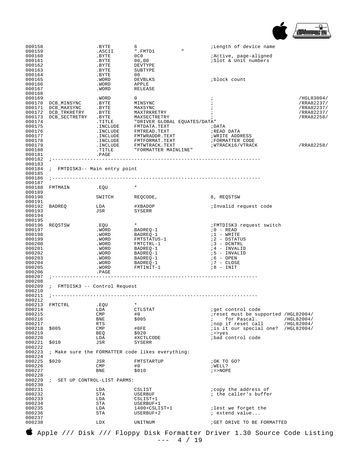

| 000158                                                   |                               | .BYTE                           | 6<br>".FMTD1                                                                                                                           | <i>i</i> Length of device name                                                        |            |
|----------------------------------------------------------|-------------------------------|---------------------------------|----------------------------------------------------------------------------------------------------------------------------------------|---------------------------------------------------------------------------------------|------------|
| 000159<br>000160                                         |                               | .ASCII<br>.BYTE<br>.BYTE        | 0C0                                                                                                                                    | <i>i</i> Active, page-aligned                                                         |            |
| 000161<br>000162                                         |                               | .BYTE                           | 00,00<br>DEVTYPE                                                                                                                       | :Slot & Unit numbers                                                                  |            |
| 000163                                                   |                               | .BYTE                           | SUBTYPE                                                                                                                                |                                                                                       |            |
| 000164                                                   |                               | .BYTE                           | 00                                                                                                                                     |                                                                                       |            |
| 000165<br>000166                                         |                               | .WORD<br>.WORD                  | DEVBLKS<br>APPLE                                                                                                                       | block count                                                                           |            |
| 000167                                                   |                               | .WORD                           | RELEASE                                                                                                                                |                                                                                       |            |
| 000168<br>000169                                         |                               | .WORD                           | $\mathbf{0}$                                                                                                                           | $\ddot{i}$                                                                            | /HGL83004/ |
| 000170                                                   | DCB_MINSYNC                   | .BYTE                           | MINSYNC                                                                                                                                |                                                                                       | /RRA82237/ |
| 000171                                                   | DCB MAXSYNC                   | .BYTE                           | MAXSYNC                                                                                                                                |                                                                                       | /RRA82237/ |
| 000172                                                   | DCB_TRKRETRY                  | .BYTE                           | MAXTRKRETRY                                                                                                                            |                                                                                       | /RRA82237/ |
| 000173<br>000174                                         | DCB_SECTRETRY                 | .BYTE<br>.TITLE                 | MAXSECTRETRY<br>"DRIVER GLOBAL EQUATES/DATA"                                                                                           |                                                                                       | /RRA82258/ |
| 000175                                                   |                               | .INCLUDE                        | FMTDATA.TEXT                                                                                                                           | ; DATA                                                                                |            |
| 000176                                                   |                               | .INCLUDE                        | FMTREAD.TEXT                                                                                                                           | ;READ DATA                                                                            |            |
| 000177<br>000178                                         |                               | .INCLUDE<br>.INCLUDE            | FMTWRADDR.TEXT<br>FMTFORMAT.TEXT                                                                                                       | WRITE ADDRESS<br>FORMATTER CODE                                                       |            |
| 000179                                                   |                               | .INCLUDE                        | FMTWTRACK.TEXT                                                                                                                         | ; WTRACK16/VTRACK                                                                     | /RRA82258/ |
| 000180                                                   |                               | .TITLE                          | "FORMATTER MAINLINE"                                                                                                                   |                                                                                       |            |
| 000181<br>000182                                         |                               | .PAGE                           |                                                                                                                                        |                                                                                       |            |
| 000183                                                   |                               |                                 |                                                                                                                                        |                                                                                       |            |
| 000184                                                   | ; FMTDISK3-- Main entry point |                                 |                                                                                                                                        |                                                                                       |            |
| 000185<br>000186                                         |                               |                                 |                                                                                                                                        |                                                                                       |            |
| 000187                                                   |                               |                                 |                                                                                                                                        |                                                                                       |            |
| 000188                                                   | FMTMAIN                       | . EOU                           | $\star$                                                                                                                                |                                                                                       |            |
| 000189<br>000190                                         |                               | SWITCH                          | REQCODE,                                                                                                                               | 8, REQSTSW                                                                            |            |
| 000191                                                   |                               |                                 |                                                                                                                                        |                                                                                       |            |
| 000192                                                   | BADREQ                        | LDA                             | #XBADOP                                                                                                                                | ;Invalid request code                                                                 |            |
| 000193<br>000194                                         |                               | JSR                             | SYSERR                                                                                                                                 |                                                                                       |            |
| 000195                                                   |                               |                                 |                                                                                                                                        |                                                                                       |            |
| 000196                                                   | REQSTSW                       | .EQU                            | $\star$                                                                                                                                | FMTDISK3 request switch                                                               |            |
| 000197<br>000198                                         |                               | .WORD                           | BADREQ-1                                                                                                                               | $10 - READ$<br>$:1$ - WRITE                                                           |            |
| 000199                                                   |                               | .WORD<br>.WORD                  | BADREQ-1<br>FMTSTATUS-1                                                                                                                | ;2 - DSTATUS                                                                          |            |
| 000200                                                   |                               | .WORD                           | FMTCTRL-1                                                                                                                              | ;3 - DCNTRL                                                                           |            |
| 000201                                                   |                               | .WORD                           | BADREQ-1                                                                                                                               | ;4 - INVALID                                                                          |            |
| 000202<br>000203                                         |                               | .WORD<br>.WORD                  | BADREQ-1<br>BADREQ-1                                                                                                                   | ;5 - INVALID<br>;6 - OPEN                                                             |            |
| 000204                                                   |                               | .WORD                           | BADREQ-1                                                                                                                               | 7 - CLOSE                                                                             |            |
| 000205                                                   |                               | .WORD                           | FMTINIT-1                                                                                                                              | 78 - INIT                                                                             |            |
| 000206<br>000207                                         |                               | .PAGE                           | -------------------------------------                                                                                                  |                                                                                       |            |
| 000208                                                   |                               |                                 |                                                                                                                                        |                                                                                       |            |
| 000209<br>000210                                         | ; FMTDISK3 -- Control Request |                                 |                                                                                                                                        |                                                                                       |            |
| 000211                                                   |                               |                                 | ________________________                                                                                                               |                                                                                       |            |
| 000212                                                   |                               |                                 |                                                                                                                                        |                                                                                       |            |
| 000213<br>000214                                         | FMTCTRL .EOU                  |                                 |                                                                                                                                        |                                                                                       |            |
| 000215                                                   |                               | LDA<br><b>CMP</b>               | CTLSTAT<br>#0                                                                                                                          | iget control code<br>ireset must be supported / HGL82004/                             |            |
| 000216                                                   |                               | BNE                             | \$005                                                                                                                                  | for Pascal.                                                                           | /HGL82004/ |
| 000217                                                   |                               | <b>RTS</b>                      |                                                                                                                                        | inop if reset call                                                                    | /HGL82004/ |
| 000218<br>000219                                         | \$005                         | <b>CMP</b><br>BEQ               | #0FE<br>\$020                                                                                                                          | is it our special one? /HGL82004/<br>$i = yes$                                        |            |
| 000220                                                   |                               | LDA                             | #XCTLCODE                                                                                                                              | bad control code                                                                      |            |
| 000221                                                   | \$010                         | JSR                             | SYSERR                                                                                                                                 |                                                                                       |            |
| 000222<br>000223                                         |                               |                                 | ; Make sure the FORMATTER code likes everything:                                                                                       |                                                                                       |            |
| 000224                                                   |                               |                                 |                                                                                                                                        |                                                                                       |            |
| 000225                                                   | \$020                         | JSR                             | FMTSTARTUP                                                                                                                             | OK TO GO?                                                                             |            |
| 000226                                                   |                               | <b>CMP</b>                      | #0                                                                                                                                     | ; WELL?                                                                               |            |
|                                                          |                               |                                 |                                                                                                                                        |                                                                                       |            |
| 000229                                                   |                               | SET UP CONTROL-LIST PARMS:      |                                                                                                                                        |                                                                                       |            |
| 000230                                                   |                               |                                 |                                                                                                                                        |                                                                                       |            |
|                                                          |                               |                                 |                                                                                                                                        | ; the caller's buffer                                                                 |            |
| 000233                                                   |                               | LDA                             | CSLIST+1                                                                                                                               |                                                                                       |            |
| 000234                                                   |                               | STA                             | USERBUF+1                                                                                                                              |                                                                                       |            |
|                                                          |                               |                                 |                                                                                                                                        |                                                                                       |            |
| 000237                                                   |                               |                                 |                                                                                                                                        |                                                                                       |            |
| 000238                                                   |                               | LDX                             | UNITNUM                                                                                                                                | GET DRIVE TO BE FORMATTED                                                             |            |
| 000227<br>000228<br>000231<br>000232<br>000235<br>000236 |                               | BNE<br>LDA<br>STA<br>LDA<br>STA | \$010<br>CSLIST<br>USERBUF<br>$1400+CSLIST+1$<br>USERBUF+2<br>Apple /// Disk /// Floppy Disk Formatter Driver 1.30 Source Code Listing | $i = >$ NOPE<br><i>i</i> copy the address of<br>ilest we forget the<br>; extend value |            |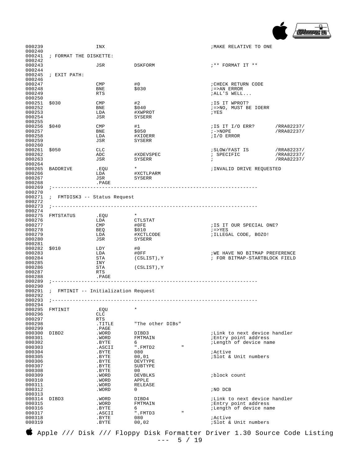

| 000239           |                                     | INX            |                         | ; MAKE RELATIVE TO ONE                                                   |            |
|------------------|-------------------------------------|----------------|-------------------------|--------------------------------------------------------------------------|------------|
| 000240           |                                     |                |                         |                                                                          |            |
| 000241<br>000242 | ; FORMAT THE DISKETTE:              |                |                         |                                                                          |            |
| 000243           |                                     | JSR            | DSKFORM                 | ;** FORMAT IT **                                                         |            |
| 000244           |                                     |                |                         |                                                                          |            |
| 000245           | ; EXIT PATH:                        |                |                         |                                                                          |            |
| 000246<br>000247 |                                     | CMP            | #0                      | CHECK RETURN CODE                                                        |            |
| 000248           |                                     | BNE            | \$030                   | $i =$ >AN ERROR                                                          |            |
| 000249           |                                     | RTS            |                         | ; ALL'S WELL                                                             |            |
| 000250           |                                     |                |                         |                                                                          |            |
| 000251<br>000252 | \$030                               | CMP<br>BNE     | #2<br>\$040             | ; IS IT WPROT?<br>; =>NO, MUST BE IOERR                                  |            |
| 000253           |                                     | LDA            | #XWPROT                 | ; YES                                                                    |            |
| 000254           |                                     | JSR            | SYSERR                  |                                                                          |            |
| 000255           |                                     |                |                         |                                                                          |            |
| 000256           | \$040                               | CMP            | #1                      | ;IS IT I/O ERR?                                                          | /RRA82237/ |
| 000257<br>000258 |                                     | BNE<br>LDA     | \$050<br>#XIOERR        | $7 - > NOPE$<br>;I/O ERROR                                               | /RRA82237/ |
| 000259           |                                     | JSR            | SYSERR                  |                                                                          |            |
| 000260           |                                     |                |                         |                                                                          |            |
| 000261           | \$050                               | CLC            |                         | ;SLOW/FAST IS                                                            | /RRA82237/ |
| 000262           |                                     | ADC            | #XDEVSPEC               | ; SPECIFIC                                                               | /RRA82237/ |
| 000263<br>000264 |                                     | JSR            | SYSERR                  | $\ddot{i}$                                                               | /RRA82237/ |
| 000265           | BADDRIVE                            | .EQU           | $\star$                 | ;INVALID DRIVE REQUESTED                                                 |            |
| 000266           |                                     | LDA            | #XCTLPARM               |                                                                          |            |
| 000267           |                                     | JSR            | SYSERR                  |                                                                          |            |
| 000268<br>000269 | $\, \, \cdot \,$ - - - - - - - - -  | .PAGE          |                         |                                                                          |            |
| 000270           |                                     |                |                         |                                                                          |            |
| 000271           | ; FMTDISK3 -- Status Request        |                |                         |                                                                          |            |
| 000272           |                                     |                |                         |                                                                          |            |
| 000273           |                                     |                |                         |                                                                          |            |
| 000274<br>000275 | FMTSTATUS                           | .EQU           | $\star$                 |                                                                          |            |
| 000276           |                                     | LDA            | CTLSTAT                 |                                                                          |            |
| 000277           |                                     | CMP            | #0FE                    | ; IS IT OUR SPECIAL ONE?                                                 |            |
| 000278           |                                     | BEQ            | \$010                   | $i = > YES$                                                              |            |
| 000279           |                                     | LDA            | #XCTLCODE               | ; ILLEGAL CODE, BOZO!                                                    |            |
| 000280<br>000281 |                                     | JSR            | SYSERR                  |                                                                          |            |
| 000282           | \$010                               | LDY            | #0                      |                                                                          |            |
| 000283           |                                     | LDA            | #0FF                    | WE HAVE NO BITMAP PREFERENCE                                             |            |
| 000284           |                                     | STA            | (CSLIST), Y             | ; FOR BITMAP-STARTBLOCK FIELD                                            |            |
| 000285<br>000286 |                                     | INY<br>STA     | (CSLIST), Y             |                                                                          |            |
| 000287           |                                     | RTS            |                         |                                                                          |            |
| 000288           |                                     | .PAGE          |                         |                                                                          |            |
| 000289           |                                     |                |                         |                                                                          |            |
| 000290<br>000291 | ; FMTINIT -- Initialization Request |                |                         |                                                                          |            |
| 000292           |                                     |                |                         |                                                                          |            |
| 000293           |                                     |                |                         |                                                                          |            |
| 000294<br>000295 | FMTINIT                             | .EQU           | $^\star$                |                                                                          |            |
| 000296           |                                     | <b>CLC</b>     |                         |                                                                          |            |
| 000297           |                                     | <b>RTS</b>     |                         |                                                                          |            |
| 000298           |                                     | .TITLE         | "The other DIBs"        |                                                                          |            |
| 000299           |                                     | .PAGE          |                         | <i>i</i> Link to next device handler                                     |            |
| 000300<br>000301 | DIBD2                               | .WORD<br>.WORD | DIBD3<br>FMTMAIN        | ; Entry point address                                                    |            |
| 000302           |                                     | .BYTE          | 6                       | <i>i</i> Length of device name                                           |            |
| 000303           |                                     | .ASCII         | $\mathbf{u}$<br>".FMTD2 |                                                                          |            |
| 000304           |                                     | .BYTE          | 080                     | iActive                                                                  |            |
| 000305<br>000306 |                                     | .BYTE<br>.BYTE | 00,01<br>DEVTYPE        | ;Slot & Unit numbers                                                     |            |
| 000307           |                                     | .BYTE          | SUBTYPE                 |                                                                          |            |
| 000308           |                                     | .BYTE          | 00                      |                                                                          |            |
| 000309           |                                     | .WORD          | DEVBLKS                 | block count                                                              |            |
| 000310           |                                     | .WORD          | APPLE                   |                                                                          |            |
| 000311<br>000312 |                                     | .WORD          | RELEASE<br>0            |                                                                          |            |
| 000313           |                                     | .WORD          |                         | NO DCB                                                                   |            |
| 000314           | DIBD3                               | .WORD          | DIBD4                   | <i>i</i> Link to next device handler                                     |            |
| 000315           |                                     | .WORD          | FMTMAIN                 | Entry point address                                                      |            |
| 000316           |                                     | .BYTE          | 6                       | ;Length of device name                                                   |            |
| 000317<br>000318 |                                     | .ASCII         | ".FMTD3<br>п<br>080     | iActive                                                                  |            |
| 000319           |                                     | .BYTE<br>.BYTE | 00,02                   | <i>Slot &amp; Unit numbers</i>                                           |            |
|                  |                                     |                |                         |                                                                          |            |
|                  |                                     |                |                         | Apple /// Disk /// Floppy Disk Formatter Driver 1.30 Source Code Listing |            |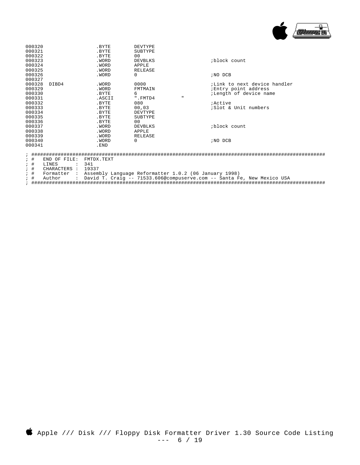

| 000320                              |       | .BYTE  | DEVTYPE  |              |                                      |  |  |
|-------------------------------------|-------|--------|----------|--------------|--------------------------------------|--|--|
| 000321                              |       | .BYTE  | SUBTYPE  |              |                                      |  |  |
| 000322                              |       | .BYTE  | 00       |              |                                      |  |  |
| 000323                              |       | .WORD  | DEVBLKS  |              | block count                          |  |  |
| 000324                              |       | .WORD  | APPLE    |              |                                      |  |  |
| 000325                              |       | .WORD  | RELEASE  |              |                                      |  |  |
| 000326                              |       | .WORD  | 0        |              | ; NO DCB                             |  |  |
| 000327                              |       |        |          |              |                                      |  |  |
| 000328                              | DIBD4 | .WORD  | 0000     |              | <i>i</i> Link to next device handler |  |  |
| 000329                              |       | .WORD  | FMTMAIN  |              | ; Entry point address                |  |  |
| 000330                              |       | .BYTE  | 6        |              | ;Length of device name               |  |  |
| 000331                              |       | .ASCII | ".FMTD4  | $\mathbf{u}$ |                                      |  |  |
| 000332                              |       | .BYTE  | 080      |              | <i>i</i> Active                      |  |  |
| 000333                              |       | .BYTE  | 00,03    |              | <i>Slot &amp; Unit numbers</i>       |  |  |
| 000334                              |       | .BYTE  | DEVTYPE  |              |                                      |  |  |
| 000335                              |       | .BYTE  | SUBTYPE  |              |                                      |  |  |
| 000336                              |       | .BYTE  | 00       |              |                                      |  |  |
| 000337                              |       | .WORD  | DEVBLKS  |              | iblock count                         |  |  |
| 000338                              |       | .WORD  | APPLE    |              |                                      |  |  |
| 000339                              |       | .WORD  | RELEASE  |              |                                      |  |  |
| 000340                              |       | .WORD  | $\Omega$ |              | ; NO DCB                             |  |  |
| 000341                              |       | .END   |          |              |                                      |  |  |
| ית דדם תו תואת ++:<br>ייצים צחיישים |       |        |          |              |                                      |  |  |

- ; # END OF FILE: FMTDX.TEXT
- ; # LINES : 341<br>; # CHARACTERS : 1933<br>; # Formatter : Asse
- CHARACTERS : 19337

; # Formatter : Assembly Language Reformatter 1.0.2 (06 January 1998)

; # Author : David T. Craig -- 71533.606@compuserve.com -- Santa Fe, New Mexico USA

; ####################################################################################################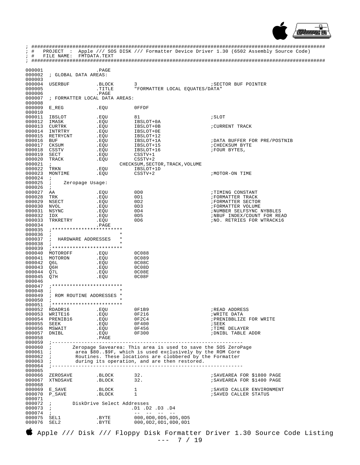

| $\ddot{i}$<br>$\ddot{i}$<br># | PROJECT                                                                                                         |                      |                                                                                                                      | : Apple /// SOS DISK /// Formatter Device Driver 1.30 (6502 Assembly Source Code) |
|-------------------------------|-----------------------------------------------------------------------------------------------------------------|----------------------|----------------------------------------------------------------------------------------------------------------------|-----------------------------------------------------------------------------------|
| $;$ #                         | FILE NAME:                                                                                                      | FMTDATA.TEXT         |                                                                                                                      |                                                                                   |
|                               |                                                                                                                 |                      |                                                                                                                      |                                                                                   |
| 000001                        |                                                                                                                 | .PAGE                |                                                                                                                      |                                                                                   |
| 000002                        | ; GLOBAL DATA AREAS:                                                                                            |                      |                                                                                                                      |                                                                                   |
| 000003<br>000004              | <b>USERBUF</b>                                                                                                  | .BLOCK               | 3                                                                                                                    | <b>SECTOR BUF POINTER</b>                                                         |
| 000005                        |                                                                                                                 | .TITLE               | "FORMATTER LOCAL EOUATES/DATA"                                                                                       |                                                                                   |
| 000006                        |                                                                                                                 | .PAGE                |                                                                                                                      |                                                                                   |
| 000007<br>000008              | ; FORMATTER LOCAL DATA AREAS:                                                                                   |                      |                                                                                                                      |                                                                                   |
| 000009                        | $E$ REG                                                                                                         | .EQU                 | OFFDF                                                                                                                |                                                                                   |
| 000010                        |                                                                                                                 |                      |                                                                                                                      |                                                                                   |
| 000011<br>000012              | IBSLOT<br>IMASK                                                                                                 | .EQU<br>.EQU         | 81<br>IBSLOT+0A                                                                                                      | ; SLOT                                                                            |
| 000013                        | CURTRK                                                                                                          | .EQU                 | IBSLOT+0B                                                                                                            | ; CURRENT TRACK                                                                   |
| 000014                        | INTRTRY                                                                                                         | .EQU                 | IBSLOT+0E                                                                                                            |                                                                                   |
| 000015<br>000016              | RETRYCNT                                                                                                        | .EQU                 | IBSLOT+12                                                                                                            |                                                                                   |
| 000017                        | BUF<br>CKSUM                                                                                                    | .EQU<br>.EQU         | IBSLOT+1A<br>IBSLOT+15                                                                                               | ; DATA BUFFER FOR PRE/POSTNIB<br><b>; CHECKSUM BYTE</b>                           |
| 000018                        | CSSTV                                                                                                           | .EQU                 | IBSLOT+16                                                                                                            | FOUR BYTES,                                                                       |
| 000019                        | SECT                                                                                                            | .EQU                 | $CSSTV+1$                                                                                                            |                                                                                   |
| 000020<br>000021              | TRACK<br>$\ddot{i}$                                                                                             | .EQU                 | $CSSTV+2$<br>CHECKSUM, SECTOR, TRACK, VOLUME                                                                         |                                                                                   |
| 000022                        | TRKN                                                                                                            | .EQU                 | IBSLOT+1D                                                                                                            |                                                                                   |
| 000023                        | MONTIME                                                                                                         | .EOU                 | $CSSTV+2$                                                                                                            | /MOTOR-ON TIME                                                                    |
| 000024<br>000025              | $\cdot$<br>$\ddot{i}$<br>Zeropage Usage:                                                                        |                      |                                                                                                                      |                                                                                   |
| 000026                        | $\ddot{i}$                                                                                                      |                      |                                                                                                                      |                                                                                   |
| 000027                        | AA                                                                                                              | .EQU                 | 0D <sub>0</sub>                                                                                                      | ; TIMING CONSTANT                                                                 |
| 000028<br>000029              | TRK                                                                                                             | .EQU<br>.EQU         | 0D1<br>0D2                                                                                                           | <b>; FORMATTER TRACK</b><br>FORMATTER SECTOR                                      |
| 000030                        | NSECT<br><b>NVOL</b>                                                                                            | .EQU                 | OD3                                                                                                                  | FORMATTER VOLUME                                                                  |
| 000031                        | NSYNC                                                                                                           | .EQU                 | 0D4                                                                                                                  | ; NUMBER SELFSYNC NYBBLES                                                         |
| 000032                        | IDX                                                                                                             | .EQU                 | 0D5<br>0D <sub>6</sub>                                                                                               | ; NBUF INDEX/COUNT FOR READ                                                       |
| 000033<br>000034              | TRKRETRY                                                                                                        | .EQU<br>.PAGE        |                                                                                                                      | ; NO. RETRIES FOR WTRACK16                                                        |
| 000035                        |                                                                                                                 |                      |                                                                                                                      |                                                                                   |
| 000036                        | $\ddot{i}$                                                                                                      | $^\star$<br>$^\star$ |                                                                                                                      |                                                                                   |
| 000037<br>000038              | $\ddot{i}$<br>HARDWARE ADDRESSES                                                                                | *                    |                                                                                                                      |                                                                                   |
| 000039                        |                                                                                                                 |                      |                                                                                                                      |                                                                                   |
| 000040                        | MOTOROFF                                                                                                        | .EQU                 | 0C088                                                                                                                |                                                                                   |
| 000041<br>000042              | MOTORON<br>06L                                                                                                  | .EQU<br>.EQU         | 0C089<br>0C08C                                                                                                       |                                                                                   |
| 000043                        | Q6H                                                                                                             | .EQU                 | 0C08D                                                                                                                |                                                                                   |
| 000044                        | O7L                                                                                                             | .EQU                 | 0C08E                                                                                                                |                                                                                   |
| 000045<br>000046              | Q7H                                                                                                             | .EQU                 | 0C08F                                                                                                                |                                                                                   |
| 000047                        |                                                                                                                 |                      |                                                                                                                      |                                                                                   |
| 000048                        | $\ddot{i}$                                                                                                      | *                    |                                                                                                                      |                                                                                   |
| 000049<br>000050              | ; ROM ROUTINE ADDRESSES<br>$\ddot{i}$                                                                           | $\star$              |                                                                                                                      |                                                                                   |
| 000051                        |                                                                                                                 |                      |                                                                                                                      |                                                                                   |
|                               | 000052 RDADR16                                                                                                  | .EQU                 | OF1B9                                                                                                                | READ ADDRESS                                                                      |
|                               | 000053 WRITE16<br>000054 PRENIB16                                                                               | .EQU<br>.EQU         | 0F216<br>0F2C4                                                                                                       | <b>WRITE DATA</b><br>; PRENIBBLIZE FOR WRITE                                      |
| 000055 SEEK                   |                                                                                                                 | .EQU                 | 0F400                                                                                                                | ; SEEK                                                                            |
|                               | 000056 MSWAIT                                                                                                   | . EOU                | 0F456                                                                                                                | <b>; TIME DELAYER</b>                                                             |
| 000057<br>000058              | DNIBL                                                                                                           | .EQU<br>.PAGE        | 0F300                                                                                                                | ; DNIBL TABLE ADDR                                                                |
|                               |                                                                                                                 |                      |                                                                                                                      |                                                                                   |
| $000060$ ;                    |                                                                                                                 |                      | Zeropage Savearea: This area is used to save the SOS ZeroPage                                                        |                                                                                   |
| 000061 ;<br>000062 :          |                                                                                                                 |                      | area \$80\$9F, which is used exclusively by the ROM Core<br>Routines. These locations are clobbered by the Formatter |                                                                                   |
| 000063 :                      |                                                                                                                 |                      | during its operation, and are then restored.                                                                         |                                                                                   |
|                               |                                                                                                                 |                      |                                                                                                                      |                                                                                   |
| 000065                        | 000066 ZEROSAVE .BLOCK 32.                                                                                      |                      |                                                                                                                      | ; SAVEAREA FOR \$1800 PAGE                                                        |
| 000067                        | XTNDSAVE .BLOCK 32.                                                                                             |                      |                                                                                                                      | ; SAVEAREA FOR \$1400 PAGE                                                        |
| 000068                        |                                                                                                                 |                      |                                                                                                                      |                                                                                   |
|                               | $\begin{tabular}{llllll} 000069 & E\_SAVE & & & .BLOCK & 1 \\ 000070 & P\_SAVE & & .BLOCK & 1 \\ \end{tabular}$ |                      |                                                                                                                      | ; SAVED CALLER ENVIRONMENT                                                        |
| 000071                        |                                                                                                                 |                      |                                                                                                                      | SAVED CALLER STATUS                                                               |
|                               | 000072 ; DiskDrive Select Addresses                                                                             |                      |                                                                                                                      |                                                                                   |
| $000073$ ;<br>000074          | $\mathbf{r}$                                                                                                    |                      | .D1 .D2 .D3 .D4<br>$\begin{array}{cccccccccccccc} -- & - & - & - & - & - & - & - \end{array}$                        |                                                                                   |
| 000075 SEL1                   |                                                                                                                 | .BYTE                | 000,0D0,0D5,0D5,0D5                                                                                                  |                                                                                   |
| 000076                        | SEL2                                                                                                            | .BYTE                | 000,0D2,0D1,0D0,0D1                                                                                                  |                                                                                   |
|                               |                                                                                                                 |                      |                                                                                                                      |                                                                                   |

 Apple /// Disk /// Floppy Disk Formatter Driver 1.30 Source Code Listing --- 7 / 19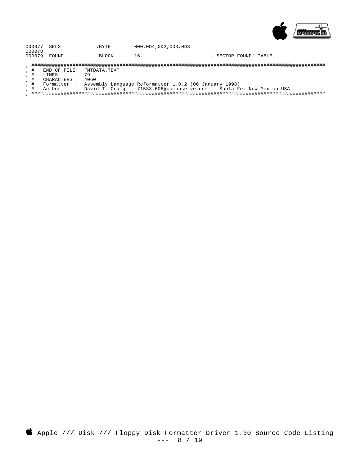

| 000077 SEL3 | .BYTE | 000, 0D4, 0D2, 0D3, 0D3 |  |
|-------------|-------|-------------------------|--|
| 000078      |       |                         |  |

000079 FOUND .BLOCK 16. ; 'SECTOR FOUND' TABLE.

- END OF FILE: FMTDATA.TEXT<br>LINES : 79  $\begin{array}{cc} ; & \# \\ ; & \# \end{array}$
- CHARACTERS : 4060  $;$  #

- 
-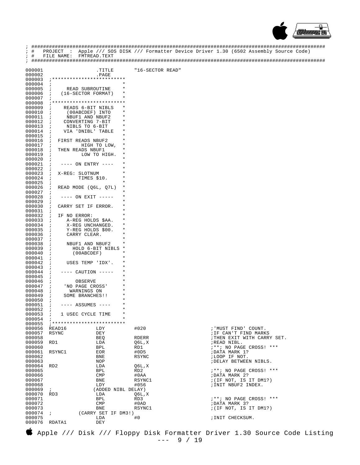

| $\ddot{i}$<br>$;$ # | PROJECT<br>$\sim$ 100 $\sim$                                    |                              |                  | Apple /// SOS DISK /// Formatter Device Driver 1.30 (6502 Assembly Source Code) |
|---------------------|-----------------------------------------------------------------|------------------------------|------------------|---------------------------------------------------------------------------------|
| $;$ #               | FILE NAME:                                                      | FMTREAD.TEXT                 |                  |                                                                                 |
|                     |                                                                 |                              |                  |                                                                                 |
| 000001              |                                                                 | TITLE.                       | "16-SECTOR READ" |                                                                                 |
| 000002<br>000003    |                                                                 | .PAGE                        |                  |                                                                                 |
| 000004              | $\ddot{i}$                                                      |                              |                  |                                                                                 |
| 000005              | READ SUBROUTINE<br>$\ddot{i}$                                   | *                            |                  |                                                                                 |
| 000006              | $\ddot{i}$<br>(16-SECTOR FORMAT)                                | $^\star$<br>$^\star$         |                  |                                                                                 |
| 000007<br>000008    |                                                                 |                              |                  |                                                                                 |
| 000009              | $\ddot{i}$<br>READS 6-BIT NIBLS                                 | $^\star$                     |                  |                                                                                 |
| 000010              | (00ABCDEF) INTO<br>$\ddot{i}$                                   | *                            |                  |                                                                                 |
| 000011<br>000012    | NBUF1 AND NBUF2<br>$\ddot{ }$<br>CONVERTING 7-BIT<br>$\ddot{i}$ | *<br>*                       |                  |                                                                                 |
| 000013              | NIBLS TO 6-BIT<br>$\ddot{i}$                                    | *                            |                  |                                                                                 |
| 000014              | VIA 'DNIBL' TABLE<br>$\ddot{i}$                                 | *                            |                  |                                                                                 |
| 000015<br>000016    | $\ddot{i}$                                                      | *<br>*                       |                  |                                                                                 |
| 000017              | FIRST READS NBUF2<br>$\cdot$<br>$\ddot{i}$                      | *<br>HIGH TO LOW,            |                  |                                                                                 |
| 000018              | THEN READS NBUF1<br>$\ddot{i}$                                  | $^\star$                     |                  |                                                                                 |
| 000019              | $\cdot$                                                         | *<br>LOW TO HIGH.<br>$\star$ |                  |                                                                                 |
| 000020<br>000021    | $\ddot{i}$<br>$\ddot{i}$<br>$---$ ON ENTRY $---$                | *                            |                  |                                                                                 |
| 000022              | $\cdot$                                                         | *                            |                  |                                                                                 |
| 000023              | $\ddot{i}$<br>X-REG: SLOTNUM                                    | *                            |                  |                                                                                 |
| 000024<br>000025    | TIMES \$10.<br>$\cdot$<br>$\cdot$                               | *                            |                  |                                                                                 |
| 000026              | $\cdot$<br>READ MODE (Q6L, Q7L)                                 | $^\star$                     |                  |                                                                                 |
| 000027              | $\ddot{i}$                                                      | *                            |                  |                                                                                 |
| 000028<br>000029    | $--- ON EXIT ------$<br>$\ddot{i}$<br>$\ddot{i}$                | *<br>*                       |                  |                                                                                 |
| 000030              | $\cdot$<br>CARRY SET IF ERROR.                                  | *                            |                  |                                                                                 |
| 000031              | $\cdot$                                                         | *                            |                  |                                                                                 |
| 000032<br>000033    | $\cdot$<br>IF NO ERROR:<br>$\ddot{i}$<br>A-REG HOLDS \$AA.      | *<br>*                       |                  |                                                                                 |
| 000034              | X-REG UNCHANGED.<br>$\ddot{ }$                                  | $^\ast$                      |                  |                                                                                 |
| 000035              | Y-REG HOLDS \$00.<br>$\ddot{i}$                                 | *                            |                  |                                                                                 |
| 000036<br>000037    | CARRY CLEAR.<br>$\ddot{i}$                                      | *<br>*                       |                  |                                                                                 |
| 000038              | $\ddot{ }$<br>$\ddot{i}$<br>NBUF1 AND NBUF2                     | *                            |                  |                                                                                 |
| 000039              | $\ddot{ }$                                                      | $\star$<br>HOLD 6-BIT NIBLS  |                  |                                                                                 |
| 000040              | (00ABCDEF)<br>$\ddot{ }$                                        | *<br>*                       |                  |                                                                                 |
| 000041<br>000042    | $\ddot{i}$<br>$\ddot{i}$<br>USES TEMP 'IDX'.                    | *                            |                  |                                                                                 |
| 000043              | $\ddot{i}$                                                      | *                            |                  |                                                                                 |
| 000044<br>000045    | ---- CAUTION -----<br>$\ddot{i}$                                | *<br>*                       |                  |                                                                                 |
| 000046              | $\ddot{i}$<br>OBSERVE<br>$\ddot{i}$                             | *                            |                  |                                                                                 |
| 000047              | $\ddot{i}$<br>'NO PAGE CROSS'                                   |                              |                  |                                                                                 |
| 000048              | WARNINGS ON<br>$\cdot$                                          | *                            |                  |                                                                                 |
| 000049<br>000050    | SOME BRANCHES!!<br>$\ddot{i}$<br>$\cdot$                        |                              |                  |                                                                                 |
| 000051              | $\ddot{i}$<br>$---$ ASSUMES $---$                               | *                            |                  |                                                                                 |
| 000052 i            |                                                                 | $^\star$                     |                  |                                                                                 |
| 000053<br>000054    | 1 USEC CYCLE TIME<br>$\mathcal{L}$                              | $\star$                      |                  |                                                                                 |
| 000055              |                                                                 |                              |                  |                                                                                 |
| 000056<br>000057    | READ16<br>RSYNC                                                 | LDY<br>DEY                   | #020             | ; 'MUST FIND' COUNT.                                                            |
| 000058              |                                                                 | BEQ                          | RDERR            | ; IF CAN'T FIND MARKS<br>; THEN EXIT WITH CARRY SET.                            |
| 000059              | RD1                                                             | LDA                          | Q6L,X            | ;READ NIBL.                                                                     |
| 000060              |                                                                 | BPL                          | RD1              | ;**; NO PAGE CROSS! ***                                                         |
| 000061<br>000062    | RSYNC1                                                          | EOR<br>BNE                   | #0D5<br>RSYNC    | ; DATA MARK 1?<br>;LOOP IF NOT.                                                 |
| 000063              |                                                                 | NOP                          |                  | ; DELAY BETWEEN NIBLS.                                                          |
| 000064              | RD2                                                             | LDA                          | Q6L,X            |                                                                                 |
| 000065<br>000066    |                                                                 | BPL<br>CMP                   | RD2<br>#0AA      | ;**; NO PAGE CROSS! ***<br>; DATA MARK 2?                                       |
| 000067              |                                                                 | BNE                          | RSYNC1           | (IF NOT, IS IT DM? )                                                            |
| 000068              |                                                                 | LDY                          | #056             | ; INIT NBUF2 INDEX.                                                             |
| 000069<br>000070    | $\ddot{i}$<br>RD3                                               | (ADDED NIBL DELAY)<br>LDA    | Q6L,X            |                                                                                 |
| 000071              |                                                                 | BPL                          | RD3              | ; **; NO PAGE CROSS! ***                                                        |
| 000072              |                                                                 | CMP                          | #0AD             | ; DATA MARK 3?                                                                  |
| 000073<br>000074    | $\mathbf{r}$                                                    | BNE                          | RSYNC1           | (IF NOT, IS IT DM? )                                                            |
| 000075              |                                                                 | (CARRY SET IF DM3!)<br>LDA   | #0               | ; INIT CHECKSUM.                                                                |
| 000076              | RDATA1                                                          | DEY                          |                  |                                                                                 |
| ı                   |                                                                 |                              |                  |                                                                                 |

Apple /// Disk /// Floppy Disk Formatter Driver 1.30 Source Code Listing  $--- 9 / 19$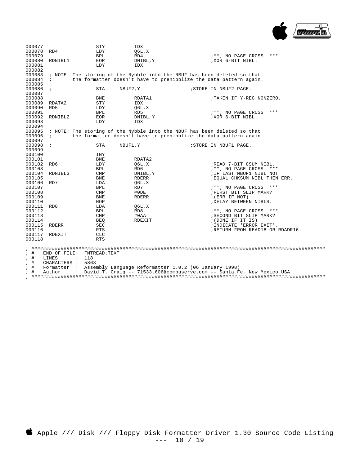

| 000077    |                 |                      | STY          | IDX                                                                      |                                                                        |  |
|-----------|-----------------|----------------------|--------------|--------------------------------------------------------------------------|------------------------------------------------------------------------|--|
| 000078    | RD4             |                      | LDY          | 06L, X                                                                   |                                                                        |  |
| 000079    |                 |                      | BPL          | RD4                                                                      | ; **; NO PAGE CROSS! ***                                               |  |
| 000080    | RDNIBL1         |                      | <b>EOR</b>   | DNIBL, Y                                                                 | ; XOR 6-BIT NIBL.                                                      |  |
| 000081    |                 |                      | LDY          | IDX                                                                      |                                                                        |  |
| 000082    |                 |                      |              |                                                                          |                                                                        |  |
| 000083    |                 |                      |              | ; NOTE: The storing of the Nybble into the NBUF has been deleted so that |                                                                        |  |
| 000084    | $\ddot{i}$      |                      |              | the formatter doesn't have to prenibblize the data pattern again.        |                                                                        |  |
| 000085    |                 |                      |              |                                                                          |                                                                        |  |
| 000086    | $\cdot$         |                      | STA          | NBUF2, Y                                                                 | ; STORE IN NBUF2 PAGE.                                                 |  |
| 000087    |                 |                      |              |                                                                          |                                                                        |  |
| 000088    |                 |                      | BNE          | RDATA1                                                                   | ;TAKEN IF Y-REG NONZERO.                                               |  |
| 000089    | RDATA2          |                      | STY          | IDX                                                                      |                                                                        |  |
| 000090    | RD <sub>5</sub> |                      | LDY          | 06L, X                                                                   |                                                                        |  |
| 000091    |                 |                      | BPL          | RD5                                                                      | ; **; NO PAGE CROSS! ***                                               |  |
| 000092    | RDNIBL2         |                      | EOR          | DNIBL, Y                                                                 | ;XOR 6-BIT NIBL.                                                       |  |
| 000093    |                 |                      | LDY          | IDX                                                                      |                                                                        |  |
| 000094    |                 |                      |              |                                                                          |                                                                        |  |
| 000095    |                 |                      |              | ; NOTE: The storing of the Nybble into the NBUF has been deleted so that |                                                                        |  |
| 000096    | $\cdot$         |                      |              | the formatter doesn't have to prenibblize the data pattern again.        |                                                                        |  |
| 000097    |                 |                      |              |                                                                          |                                                                        |  |
| 000098    | $\cdot$         |                      | <b>STA</b>   | NBUF1, Y                                                                 | ; STORE IN NBUF1 PAGE.                                                 |  |
| 000099    |                 |                      |              |                                                                          |                                                                        |  |
| 000100    |                 |                      | INY          |                                                                          |                                                                        |  |
| 000101    |                 |                      | <b>BNE</b>   | RDATA2                                                                   |                                                                        |  |
| 000102    | RD6             |                      | LDY          | Q6L, X                                                                   | ;READ 7-BIT CSUM NIBL.                                                 |  |
| 000103    |                 |                      | BPL          | RD6                                                                      | ; **; NO PAGE CROSS! ***                                               |  |
| 000104    | RDNIBL3         |                      | CMP          | DNIBL, Y                                                                 | ; IF LAST NBUF1 NIBL NOT                                               |  |
| 000105    |                 |                      | BNE          | RDERR                                                                    | ; EQUAL CHKSUM NIBL THEN ERR.                                          |  |
| 000106    | RD7             |                      | LDA          | Q6L,X                                                                    |                                                                        |  |
| 000107    |                 |                      | BPL          | RD7                                                                      | ; **; NO PAGE CROSS! ***                                               |  |
| 000108    |                 |                      | CMP          | #ODE                                                                     | ; FIRST BIT SLIP MARK?                                                 |  |
| 000109    |                 |                      | BNE          | RDERR                                                                    | (ERR IF NOT)                                                           |  |
| 000110    |                 |                      | NOP          |                                                                          | ; DELAY BETWEEN NIBLS.                                                 |  |
| 000111    | RD8             |                      | LDA          | 06L, X                                                                   |                                                                        |  |
| 000112    |                 |                      | BPL          | RD8                                                                      | ; **; NO PAGE CROSS! ***                                               |  |
| 000113    |                 |                      | CMP          | #0AA                                                                     | ; SECOND BIT SLIP MARK?                                                |  |
| 000114    |                 |                      | BEO          | RDEXIT                                                                   | ; (DONE IF IT IS)                                                      |  |
| 000115    | RDERR           |                      | SEC          |                                                                          | ; INDICATE 'ERROR EXIT'.                                               |  |
| 000116    |                 |                      | <b>RTS</b>   |                                                                          | ; RETURN FROM READ16 OR RDADR16.                                       |  |
| 000117    | RDEXIT          |                      | $_{\rm CLC}$ |                                                                          |                                                                        |  |
| 000118    |                 |                      | <b>RTS</b>   |                                                                          |                                                                        |  |
|           |                 |                      |              |                                                                          |                                                                        |  |
| $;$ #     | END OF FILE:    |                      | FMTREAD.TEXT |                                                                          |                                                                        |  |
| $;$ #     | LINES           | $\sim$ 100 $\pm$     | 118          |                                                                          |                                                                        |  |
| $;$ #     | CHARACTERS :    |                      | 5863         |                                                                          |                                                                        |  |
| $;$ #     | Formatter :     |                      |              | Assembly Language Reformatter 1.0.2 (06 January 1998)                    |                                                                        |  |
| $\cdot$ # | Author          | $\ddot{\phantom{a}}$ |              |                                                                          | David T. Craig -- 71533.606@compuserve.com -- Santa Fe, New Mexico USA |  |
|           |                 |                      |              |                                                                          |                                                                        |  |

; ####################################################################################################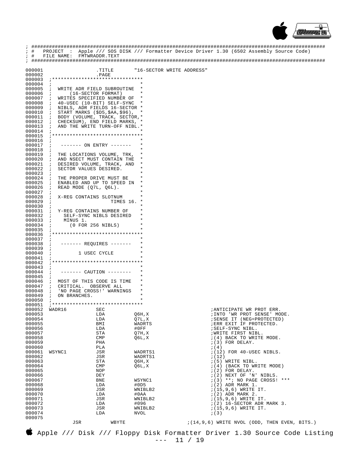

| ; #<br>; #       | FILE NAME:                         | FMTWRADDR.TEXT                                                 |                           | PROJECT : Apple /// SOS DISK /// Formatter Device Driver 1.30 (6502 Assembly Source Code) |
|------------------|------------------------------------|----------------------------------------------------------------|---------------------------|-------------------------------------------------------------------------------------------|
|                  |                                    |                                                                |                           |                                                                                           |
| 000001           |                                    | TITLE.                                                         | "16-SECTOR WRITE ADDRESS" |                                                                                           |
| 000002<br>000003 |                                    | .PAGE                                                          |                           |                                                                                           |
| 000004           | $\cdot$                            |                                                                |                           |                                                                                           |
| 000005           | $\ddot{i}$                         | WRITE ADR FIELD SUBROUTINE                                     |                           |                                                                                           |
| 000006           | $\ddot{i}$                         | (16-SECTOR FORMAT)                                             | $\ast$                    |                                                                                           |
| 000007<br>000008 | $\cdot$ ;<br>$\cdot$               | WRITES SPECIFIED NUMBER OF<br>40-USEC (10-BIT) SELF-SYNC       |                           |                                                                                           |
| 000009           | $\cdot$                            | NIBLS, ADR FIELDS 16-SECTOR *                                  |                           |                                                                                           |
| 000010           | $\cdot$ :                          | START MARKS $($D5, $AA, $96)$ ,                                |                           |                                                                                           |
| 000011           | $\ddot{i}$                         | BODY (VOLUME, TRACK, SECTOR,*                                  |                           |                                                                                           |
| 000012<br>000013 | $\ddot{i}$<br>$\cdot$              | CHECKSUM), END FIELD MARKS, *<br>AND THE WRITE TURN-OFF NIBL.* |                           |                                                                                           |
| 000014           | $\ddot{i}$                         |                                                                |                           |                                                                                           |
| 000015           |                                    |                                                                |                           |                                                                                           |
| 000016           | $\cdot$                            |                                                                |                           |                                                                                           |
| 000017<br>000018 |                                    | ------- ON ENTRY -------                                       |                           |                                                                                           |
| 000019           | $\ddot{i}$<br>$\cdot$ ;            | THE LOCATIONS VOLUME, TRK,                                     |                           |                                                                                           |
| 000020           | $\cdot$                            | AND NSECT MUST CONTAIN THE                                     |                           |                                                                                           |
| 000021           | $\cdot$                            | DESIRED VOLUME, TRACK, AND                                     |                           |                                                                                           |
| 000022<br>000023 | $\cdot$ ;                          | SECTOR VALUES DESIRED.                                         |                           |                                                                                           |
| 000024           | $\cdot$<br>$\cdot$ :               | THE PROPER DRIVE MUST BE                                       |                           |                                                                                           |
| 000025           | $\cdot$ ;                          | ENABLED AND UP TO SPEED IN                                     | *                         |                                                                                           |
| 000026           | $\cdot$                            | READ MODE (Q7L, Q6L).                                          |                           |                                                                                           |
| 000027<br>000028 | $\cdot$<br>$\cdot$ ;               | X-REG CONTAINS SLOTNUM                                         |                           |                                                                                           |
| 000029           | $\ddot{i}$                         | TIMES 16.                                                      |                           |                                                                                           |
| 000030           | $\cdot$                            |                                                                |                           |                                                                                           |
| 000031           | $\cdot$ $\cdot$                    | Y-REG CONTAINS NUMBER OF                                       |                           |                                                                                           |
| 000032<br>000033 | $\ddot{i}$<br>MINUS 1.<br>$\cdot$  | SELF-SYNC NIBLS DESIRED                                        |                           |                                                                                           |
| 000034           | $\cdot$ ;                          | $(0$ FOR 256 NIBLS)                                            |                           |                                                                                           |
| 000035           |                                    |                                                                |                           |                                                                                           |
| 000036           |                                    |                                                                |                           |                                                                                           |
| 000037<br>000038 | $\ddot{i}$                         | ------- REQUIRES -------                                       |                           |                                                                                           |
| 000039           | $\ddot{i}$                         |                                                                |                           |                                                                                           |
| 000040           | $\cdot$                            | 1 USEC CYCLE                                                   |                           |                                                                                           |
| 000041<br>000042 |                                    |                                                                |                           |                                                                                           |
| 000043           | $\cdot$                            |                                                                |                           |                                                                                           |
| 000044           | $\ddot{i}$                         | ------- CAUTION --------                                       |                           |                                                                                           |
| 000045           | $\ddot{i}$                         |                                                                |                           |                                                                                           |
| 000046<br>000047 | $\cdot$<br>CRITICAL.<br>$\ddot{i}$ | MOST OF THIS CODE IS TIME<br>OBSERVE ALL                       |                           |                                                                                           |
| 000048           | $\ddot{i}$                         | 'NO PAGE CROSS!' WARNINGS                                      | *                         |                                                                                           |
| 000049           | ON BRANCHES.<br>$\ddot{i}$         |                                                                |                           |                                                                                           |
| 000050<br>000051 | $\ddot{i}$                         |                                                                |                           |                                                                                           |
| 000052           | WADR16                             | SEC                                                            |                           | ; ANTICIPATE WR PROT ERR.                                                                 |
| 000053           |                                    | LDA                                                            | Q6H, X                    | ; INTO 'WR PROT SENSE' MODE.                                                              |
| 000054           |                                    | LDA                                                            | Q7L, X                    | ; SENSE IT (NEG=PROTECTED)                                                                |
| 000055<br>000056 |                                    | BMI<br>LDA                                                     | WADRTS<br>#0FF            | ; ERR EXIT IF PROTECTED.<br>; SELF-SYNC NIBL.                                             |
| 000057           |                                    | STA                                                            | 07H, X                    | ; WRITE FIRST NIBL.                                                                       |
| 000058           |                                    | CMP                                                            | Q6L,X                     | $(4)$ BACK TO WRITE MODE.                                                                 |
| 000059           |                                    | PHA                                                            |                           | $(3)$ FOR DELAY.                                                                          |
| 000060<br>000061 | WSYNC1                             | PLA<br>JSR                                                     | WADRTS1                   | ; (4)<br>$(12)$ FOR 40-USEC NIBLS.                                                        |
| 000062           |                                    | JSR                                                            | WADRTS1                   | ; (12)                                                                                    |
| 000063           |                                    | STA                                                            | Q6H, X                    | $(5)$ WRITE NIBL.                                                                         |
| 000064<br>000065 |                                    | CMP<br>NOP                                                     | Q6L,X                     | $(4)$ (BACK TO WRITE MODE)<br>$(2)$ FOR DELAY.                                            |
| 000066           |                                    | DEY                                                            |                           | $(2)$ NEXT OF 'N' NIBLS.                                                                  |
| 000067           |                                    | BNE                                                            | WSYNC1                    | ; (3) **; NO PAGE CROSS! ***                                                              |
| 000068           |                                    | LDA                                                            | #0D5                      | $(2)$ ADR MARK 1.                                                                         |
| 000069<br>000070 |                                    | JSR<br>LDA                                                     | WNIBLB2<br>#0AA           | $(15, 9, 6)$ WRITE IT.<br>$(2)$ ADR MARK 2.                                               |
| 000071           |                                    | JSR                                                            | WNIBLB2                   | $(15, 9, 6)$ WRITE IT.                                                                    |
| 000072           |                                    | LDA                                                            | #096                      | $(2)$ 16-SECTOR ADR MARK 3.                                                               |
| 000073<br>000074 |                                    | JSR                                                            | WNIBLB2                   | $(15, 9, 6)$ WRITE IT.<br>; (3)                                                           |
| 000075           |                                    | LDA                                                            | NVOL                      |                                                                                           |
|                  | JSR                                | WBYTE                                                          |                           | $(14, 9, 6)$ WRITE NVOL (ODD, THEN EVEN, BITS.)                                           |

 $\bullet$  Apple /// Disk /// Floppy Disk Formatter Driver 1.30 Source Code Listing<br>--- 11 / 19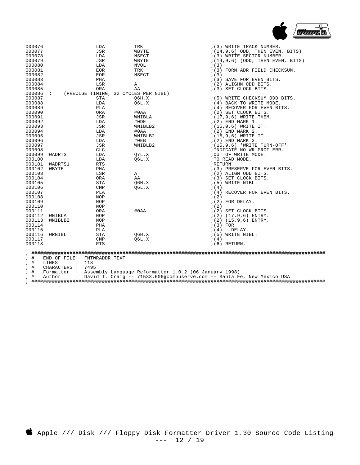

| 000076           |                               | LDA            | TRK                                  | $(3)$ WRITE TRACK NUMBER.           |
|------------------|-------------------------------|----------------|--------------------------------------|-------------------------------------|
| 000077           |                               | JSR            | WBYTE                                | $(14, 9, 6)$ ODD, THEN EVEN, BITS)  |
| 000078           |                               | LDA            | NSECT                                | $(3)$ WRITE SECTOR NUMBER.          |
| 000079           |                               | <b>JSR</b>     | WBYTE                                | $(14, 9, 6)$ (ODD, THEN EVEN, BITS) |
| 000080           |                               | LDA            | NVOL                                 | ; (3)                               |
| 000081           |                               | EOR            | TRK                                  | $(3)$ FORM ADR FIELD CHECKSUM.      |
| 000082           |                               | EOR            | NSECT                                | ; (3)                               |
| 000083           |                               | PHA            |                                      | $(3)$ SAVE FOR EVEN BITS.           |
|                  |                               | LSR            | Α                                    |                                     |
| 000084           |                               |                |                                      | $(2)$ ALIGHN ODD BITS.              |
| 000085           |                               | ORA            | ΑA                                   | $(3)$ SET CLOCK BITS.               |
| 000086           | $\cdot$                       |                | (PRECISE TIMING, 32 CYCLES PER NIBL) |                                     |
| 000087           |                               | STA            | 06H, X                               | $(5)$ WRITE CHECKSUM ODD BITS.      |
| 000088           |                               | LDA            | 06L, X                               | $(4)$ BACK TO WRITE MODE.           |
| 000089           |                               | PLA            |                                      | $(4)$ RECOVER FOR EVEN BITS.        |
| 000090           |                               | ORA            | #0AA                                 | $(2)$ SET CLOCK BITS.               |
| 000091           |                               | JSR            | WNIBLA                               | $(17, 9, 6)$ WRITE THEM.            |
| 000092           |                               | LDA            | #ODE                                 | $(2)$ END MARK 1.                   |
| 000093           |                               | JSR            | WNIBLB2                              | $(15, 9, 6)$ WRITE IT.              |
| 000094           |                               | LDA            | #0AA                                 | $(2)$ END MARK 2.                   |
| 000095           |                               | JSR            | WNIBLB2                              | $(15, 9, 6)$ WRITE IT.              |
| 000096           |                               | LDA            | #0EB                                 | $(2)$ END MARK 3.                   |
| 000097           |                               | <b>JSR</b>     | WNIBLB2                              | $(15, 9, 6)$ 'WRITE TURN-OFF'       |
| 000098           |                               | <b>CLC</b>     |                                      | ; INDICATE NO WR PROT ERR.          |
| 000099           | WADRTS                        | LDA            | 07L, X                               | ; OUT OF WRITE MODE.                |
| 000100           |                               | LDA            | Q6L,X                                | ;TO READ MODE.                      |
| 000101           | WADRTS1                       | <b>RTS</b>     |                                      | ; RETURN                            |
| 000102           | WBYTE                         | PHA            |                                      | $(3)$ PRESERVE FOR EVEN BITS.       |
| 000103           |                               | LSR            | Α                                    | $(2)$ ALIGN ODD BITS.               |
| 000104           |                               | ORA            | AA                                   | $(3)$ SET CLOCK BITS.               |
| 000105           |                               | STA            | Q6H, X                               | $(5)$ WRITE NIBL.                   |
| 000106           |                               | CMP            | 06L,X                                | ; (4)                               |
| 000107           |                               | PLA            |                                      | $(4)$ RECOVER FOR EVEN BITS.        |
| 000108           |                               | NOP            |                                      | ; (2)                               |
| 000109           |                               | NOP            |                                      | $(2)$ FOR DELAY.                    |
| 000110           |                               | NOP            |                                      | ; (2)                               |
| 000111           |                               | ORA            | #0AA                                 | $(2)$ SET CLOCK BITS.               |
|                  |                               |                |                                      |                                     |
| 000112<br>000113 | WNIBLA                        | NOP            |                                      | $(2)$ $(17, 9, 6)$ ENTRY.           |
|                  | WNIBLB2                       | NOP            |                                      | $(2)$ $(15, 9, 6)$ ENTRY.           |
| 000114           |                               | PHA            |                                      | $(3)$ FOR                           |
| 000115           |                               | PLA            |                                      | DELAY.<br>; (4)                     |
| 000116           | WRNIBL                        | STA            | 06H, X                               | $(5)$ WRITE NIBL.                   |
| 000117           |                               | <b>CMP</b>     | Q6L,X                                | ; (4)                               |
| 000118           |                               | <b>RTS</b>     |                                      | $(6)$ RETURN.                       |
|                  |                               |                |                                      |                                     |
| $;$ $\#$         | END OF FILE:                  | FMTWRADDR.TEXT |                                      |                                     |
| $;$ #            | LINES<br>$\ddot{\phantom{a}}$ | 118            |                                      |                                     |
| $;$ #            | CHARACTERS :                  | 7495           |                                      |                                     |

; # Formatter : Assembly Language Reformatter 1.0.2 (06 January 1998)

; # Author : David T. Craig -- 71533.606@compuserve.com -- Santa Fe, New Mexico USA

; ####################################################################################################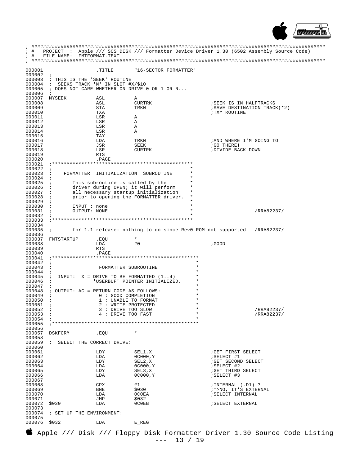

| i.<br>; #        | PROJECT<br><b>Contractor</b>               |                                             |                                                             |                      | Apple /// SOS DISK /// Formatter Device Driver 1.30 (6502 Assembly Source Code) |
|------------------|--------------------------------------------|---------------------------------------------|-------------------------------------------------------------|----------------------|---------------------------------------------------------------------------------|
| $;$ #            | FILE NAME: FMTFORMAT.TEXT                  |                                             |                                                             |                      |                                                                                 |
|                  |                                            |                                             |                                                             |                      |                                                                                 |
| 000001           |                                            | TITLE.                                      | "16-SECTOR FORMATTER"                                       |                      |                                                                                 |
| 000002<br>000003 | $\ddot{i}$<br>; THIS IS THE 'SEEK' ROUTINE |                                             |                                                             |                      |                                                                                 |
| 000004           | $\mathbf{i}$                               | SEEKS TRACK 'N' IN SLOT #X/\$10             |                                                             |                      |                                                                                 |
| 000005<br>000006 | $\ddot{i}$                                 |                                             | ; DOES NOT CARE WHETHER ON DRIVE 0 OR 1 OR N                |                      |                                                                                 |
| 000007           | MYSEEK                                     | ASL                                         | Α                                                           |                      |                                                                                 |
| 000008           |                                            | ASL                                         | CURTRK                                                      |                      | ; SEEK IS IN HALFTRACKS                                                         |
| 000009<br>000010 |                                            | STA<br>TXA                                  | TRKN                                                        |                      | ; SAVE DESTINATION TRACK(*2)<br>TXY ROUTINE                                     |
| 000011           |                                            | LSR                                         | Α                                                           |                      |                                                                                 |
| 000012           |                                            | LSR                                         | Α                                                           |                      |                                                                                 |
| 000013<br>000014 |                                            | LSR<br>LSR                                  | Α<br>Α                                                      |                      |                                                                                 |
| 000015           |                                            | TAY                                         |                                                             |                      |                                                                                 |
| 000016<br>000017 |                                            | LDA<br>JSR                                  | TRKN<br>SEEK                                                |                      | ; AND WHERE I'M GOING TO<br>GO THERE!                                           |
| 000018           |                                            | LSR                                         | CURTRK                                                      |                      | ; DIVIDE BACK DOWN                                                              |
| 000019           |                                            | RTS                                         |                                                             |                      |                                                                                 |
| 000020<br>000021 |                                            | .PAGE                                       | **************************************                      |                      |                                                                                 |
| 000022           | $\ddot{i}$                                 |                                             |                                                             |                      |                                                                                 |
| 000023           | $\ddot{i}$                                 |                                             | FORMATTER INITIALIZATION SUBROUTINE                         |                      |                                                                                 |
| 000024<br>000025 |                                            | This subroutine is called by the            |                                                             |                      |                                                                                 |
| 000026           |                                            |                                             | driver during OPEN; it will perform                         |                      |                                                                                 |
| 000027<br>000028 |                                            |                                             | all necessary startup initialization                        | $^\star$             |                                                                                 |
| 000029           | $\ddot{i}$<br>$\ddot{ }$                   |                                             | prior to opening the FORMATTER driver.                      |                      |                                                                                 |
| 000030           | INPUT : none                               |                                             |                                                             | $\star$              |                                                                                 |
| 000031<br>000032 | OUTPUT: NONE                               |                                             |                                                             |                      | /RRA82237/                                                                      |
| 000033           |                                            |                                             |                                                             |                      |                                                                                 |
| 000034           |                                            |                                             |                                                             |                      |                                                                                 |
| 000035<br>000036 | $\mathcal{L}$                              |                                             | for 1.1 release: nothing to do since RevO ROM not supported |                      | /RRA82237/                                                                      |
| 000037           | FMTSTARTUP                                 | .EQU                                        | $\star$                                                     |                      |                                                                                 |
|                  |                                            |                                             |                                                             |                      |                                                                                 |
| 000038           |                                            | LDA                                         | #0                                                          |                      | ; GOOD                                                                          |
| 000039<br>000040 |                                            | RTS<br>. PAGE                               |                                                             |                      |                                                                                 |
| 000041           |                                            |                                             |                                                             |                      |                                                                                 |
| 000042           | $\mathbf{r}$                               |                                             |                                                             | $^\star$             |                                                                                 |
| 000043<br>000044 | $\ddot{ }$<br>$\ddot{i}$                   | FORMATTER SUBROUTINE                        |                                                             | $\star$              |                                                                                 |
| 000045           | $\ddot{i}$                                 |                                             | INPUT: $X = DRIVE TO BE FORMATTED (1.4)$                    |                      |                                                                                 |
| 000046<br>000047 | $\ddot{i}$<br>$\ddot{i}$                   |                                             | 'USERBUF' POINTER INITIALIZED.                              | $\star$              |                                                                                 |
| 000048           | ; OUTPUT: AC = RETURN CODE AS FOLLOWS:     |                                             |                                                             |                      |                                                                                 |
| 000049           | $\ddot{ }$                                 | 0 : GOOD COMPLETION                         |                                                             | *                    |                                                                                 |
| 000050<br>000051 | $\ddot{i}$<br>$\ddot{i}$                   | 1 : UNABLE TO FORMAT<br>2 : WRITE-PROTECTED |                                                             | $^\star$             |                                                                                 |
| 000052           | i.                                         | 3 : DRIVE TOO SLOW                          |                                                             | $^\star$<br>$^\star$ | /RRA82237/                                                                      |
| 000053<br>000054 | $\ddot{ }$                                 | 4 : DRIVE TOO FAST                          |                                                             | $\star$              | /RRA82237/                                                                      |
| 000055           |                                            |                                             |                                                             |                      |                                                                                 |
| 000056           |                                            |                                             |                                                             |                      |                                                                                 |
| 000057<br>000058 | DSKFORM                                    | .EQU                                        |                                                             |                      |                                                                                 |
| 000059           | $\mathbf{i}$                               | SELECT THE CORRECT DRIVE:                   |                                                             |                      |                                                                                 |
| 000060<br>000061 |                                            | LDY                                         | SEL1,X                                                      |                      | GET FIRST SELECT                                                                |
| 000062           |                                            | LDA                                         | 0C000, Y                                                    |                      | ; SELECT #1                                                                     |
| 000063           |                                            | LDY                                         | SEL2,X                                                      |                      | GET SECOND SELECT                                                               |
| 000064<br>000065 |                                            | LDA<br>LDY                                  | 0C000, Y<br>SEL3,X                                          |                      | ; SELECT #2<br>GET THIRD SELECT                                                 |
| 000066           |                                            | LDA                                         | 0C000, Y                                                    |                      | ; SELECT #3                                                                     |
| 000067           |                                            |                                             |                                                             |                      |                                                                                 |
| 000068<br>000069 |                                            | CPX<br>BNE                                  | #1<br>\$030                                                 |                      | ; INTERNAL (.D1) ?<br>; =>NO, IT'S EXTERNAL                                     |
| 000070           |                                            | LDA                                         | 0C0EA                                                       |                      | ; SELECT INTERNAL                                                               |
| 000071<br>000072 | \$030                                      | JMP<br>LDA                                  | \$032<br>0C0EB                                              |                      | <b>SELECT EXTERNAL</b>                                                          |
| 000073           |                                            |                                             |                                                             |                      |                                                                                 |
| 000074           | ; SET UP THE ENVIRONMENT:                  |                                             |                                                             |                      |                                                                                 |
| 000075<br>000076 | \$032                                      | LDA                                         | $E$ REG                                                     |                      |                                                                                 |

Apple /// Disk /// Floppy Disk Formatter Driver 1.30 Source Code Listing  $--- 13 / 19$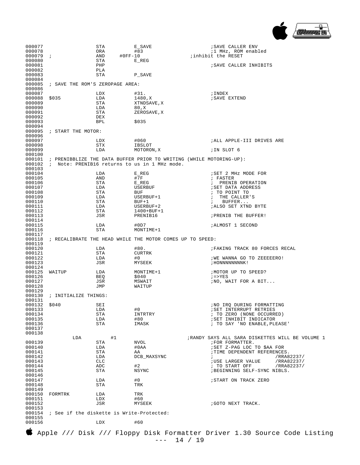

| 000077<br>000078<br>000079i<br>000080<br>000081<br>000082 |                                           | STA<br>ORA<br>AND<br>$#0FF-10$<br>STA<br>PHP<br>PLA | E_SAVE<br>#83<br>$E$ REG                                  | ; SAVE CALLER ENV<br><i>i</i> 1 MHz, ROM enabled<br>; inhibit the RESET<br>; SAVE CALLER INHIBITS |
|-----------------------------------------------------------|-------------------------------------------|-----------------------------------------------------|-----------------------------------------------------------|---------------------------------------------------------------------------------------------------|
| 000083<br>000084<br>000085                                | ; SAVE THE ROM'S ZEROPAGE AREA:           | STA                                                 | P_SAVE                                                    |                                                                                                   |
| 000086                                                    |                                           |                                                     |                                                           |                                                                                                   |
| 000087<br>000088                                          | \$035                                     | LDX<br>LDA                                          | #31.<br>1480,X                                            | ; INDEX<br>; SAVE EXTEND                                                                          |
| 000089                                                    |                                           | STA                                                 | XTNDSAVE, X                                               |                                                                                                   |
| 000090                                                    |                                           | LDA                                                 | 80,X                                                      |                                                                                                   |
| 000091<br>000092                                          |                                           | STA                                                 | ZEROSAVE, X                                               |                                                                                                   |
| 000093                                                    |                                           | DEX<br>BPL                                          | \$035                                                     |                                                                                                   |
| 000094<br>000095                                          | ; START THE MOTOR:                        |                                                     |                                                           |                                                                                                   |
| 000096<br>000097                                          |                                           | LDX                                                 | #060                                                      | ; ALL APPLE-III DRIVES ARE                                                                        |
| 000098                                                    |                                           | STX                                                 | IBSLOT                                                    |                                                                                                   |
| 000099                                                    |                                           | LDA                                                 | MOTORON, X                                                | ;IN SLOT 6                                                                                        |
| 000100<br>000101                                          |                                           |                                                     | 000102 ; Note: PRENIB16 returns to us in 1 MHz mode.      | ; PRENIBBLIZE THE DATA BUFFER PRIOR TO WRITING (WHILE MOTORING-UP):                               |
| 000103<br>000104                                          |                                           | LDA                                                 | $E$ REG                                                   | ; SET 2 MHz MODE FOR                                                                              |
| 000105                                                    |                                           | AND                                                 | #7F                                                       | ; FASTER                                                                                          |
| 000106                                                    |                                           | STA                                                 | $E$ REG                                                   | ; PRENIB OPERATION                                                                                |
| 000107<br>000108                                          |                                           | LDA<br>STA                                          | USERBUF<br>BUF                                            | <b>; SET DATA ADDRESS</b><br>; TO POINT TO                                                        |
| 000109                                                    |                                           | LDA                                                 | USERBUF+1                                                 | THE CALLER'S<br>$\ddot{i}$                                                                        |
| 000110                                                    |                                           | STA                                                 | $BUF+1$                                                   | BUFFER<br>$\ddot{ }$                                                                              |
| 000111<br>000112                                          |                                           | LDA<br>STA                                          | USERBUF+2<br>$1400 + BUF + 1$                             | ; ALSO SET XTND BYTE                                                                              |
| 000113<br>000114                                          |                                           | JSR                                                 | PRENIB16                                                  | ; PRENIB THE BUFFER!                                                                              |
| 000115                                                    |                                           | LDA                                                 | #0D7                                                      | <i>I</i> ALMOST 1 SECOND                                                                          |
| 000116                                                    |                                           | STA                                                 | MONTIME+1                                                 |                                                                                                   |
| 000117<br>000118                                          |                                           |                                                     | ; RECALIBRATE THE HEAD WHILE THE MOTOR COMES UP TO SPEED: |                                                                                                   |
| 000119                                                    |                                           |                                                     |                                                           |                                                                                                   |
| 000120                                                    |                                           | LDA                                                 | #80.                                                      | FAKING TRACK 80 FORCES RECAL                                                                      |
| 000121<br>000122                                          |                                           | STA<br>LDA                                          | CURTRK<br>#0                                              | ; WE WANNA GO TO ZEEEEERO!                                                                        |
| 000123                                                    |                                           | JSR                                                 | MYSEEK                                                    | ; HONNNNNNNNK!                                                                                    |
| 000124                                                    |                                           |                                                     |                                                           |                                                                                                   |
| 000125<br>000126                                          | WAITUP                                    | LDA<br>BEQ                                          | MONTIME+1<br>\$040                                        | ; MOTOR UP TO SPEED?<br>$i = > YES$                                                               |
| 000127                                                    |                                           | JSR                                                 | MSWAIT                                                    | ; NO, WAIT FOR A BIT                                                                              |
| 000128                                                    |                                           | JMP                                                 | WAITUP                                                    |                                                                                                   |
| 000129<br>000130                                          | ; INITIALIZE THINGS:                      |                                                     |                                                           |                                                                                                   |
| 000131                                                    |                                           |                                                     |                                                           |                                                                                                   |
| 000132 \$040                                              |                                           | SEI                                                 |                                                           | ; NO IRQ DURING FORMATTING                                                                        |
| 000133<br>000134                                          |                                           | LDA<br>STA                                          | #0<br>INTRTRY                                             | SET INTERRUPT RETRIES<br>; TO ZERO (NONE OCCURRED)                                                |
| 000135                                                    |                                           | LDA                                                 | #80                                                       | <b>SET INHIBIT INDICATOR</b>                                                                      |
| 000136                                                    |                                           | STA                                                 | IMASK                                                     | ; TO SAY 'NO ENABLE, PLEASE'                                                                      |
| 000137<br>000138                                          |                                           |                                                     |                                                           |                                                                                                   |
|                                                           | LDA                                       | #1                                                  |                                                           | ; RANDY SAYS ALL SARA DISKETTES WILL BE VOLUME 1                                                  |
| 000139                                                    |                                           | STA                                                 | <b>NVOL</b>                                               | ; FOR FORMATTER.                                                                                  |
| 000140<br>000141                                          |                                           | LDA<br>STA                                          | #0AA<br>AA                                                | ; SET Z-PAG LOC TO \$AA FOR<br>; TIME DEPENDENT REFERENCES.                                       |
| 000142                                                    |                                           | LDA                                                 | DCB_MAXSYNC                                               | /RRA82237/<br>$\ddot{ }$                                                                          |
| 000143                                                    |                                           | CLC                                                 |                                                           | <b>; USE LARGER VALUE</b><br>/RRA82237/                                                           |
| 000144<br>000145                                          |                                           | ADC<br>STA                                          | #2<br>NSYNC                                               | ; TO START OFF<br>/RRA82237/<br>; BEGINNING SELF-SYNC NIBLS.                                      |
| 000146                                                    |                                           |                                                     |                                                           |                                                                                                   |
| 000147                                                    |                                           | LDA                                                 | #0                                                        | ; START ON TRACK ZERO                                                                             |
| 000148<br>000149                                          |                                           | STA                                                 | TRK                                                       |                                                                                                   |
| 000150                                                    | FORMTRK                                   | LDA                                                 | TRK                                                       |                                                                                                   |
| 000151                                                    |                                           | LDX                                                 | #60                                                       |                                                                                                   |
| 000152                                                    |                                           | JSR                                                 | MYSEEK                                                    | ; GOTO NEXT TRACK.                                                                                |
| 000153<br>000154<br>000155                                | ; See if the diskette is Write-Protected: |                                                     |                                                           |                                                                                                   |
| 000156                                                    |                                           | LDX                                                 | #60                                                       |                                                                                                   |
|                                                           |                                           |                                                     |                                                           | Apple /// Disk /// Floppy Disk Formatter Driver 1.30 Source Code Listing                          |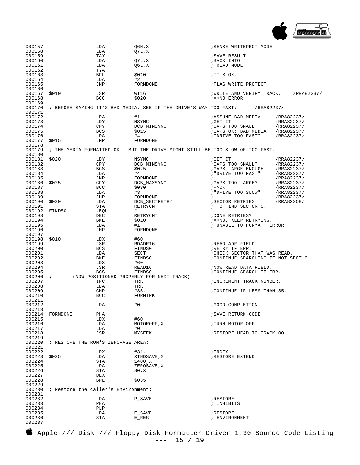

| 000157                     |                                                                                                   | LDA               | Q6H, X                                                                     | ; SENSE WRITEPROT MODE                                               |                          |
|----------------------------|---------------------------------------------------------------------------------------------------|-------------------|----------------------------------------------------------------------------|----------------------------------------------------------------------|--------------------------|
| 000158<br>000159           |                                                                                                   | LDA<br>TAY        | Q7L,X                                                                      | <i><b>SAVE RESULT</b></i>                                            |                          |
| 000160                     |                                                                                                   | LDA               | Q7L,X                                                                      | ; BACK INTO                                                          |                          |
| 000161                     |                                                                                                   | LDA               | Q6L,X                                                                      | ; READ MODE                                                          |                          |
| 000162                     |                                                                                                   | TYA               |                                                                            |                                                                      |                          |
| 000163<br>000164           |                                                                                                   | BPL<br>LDA        | \$010                                                                      | ;IT'S OK.                                                            |                          |
| 000165                     |                                                                                                   | JMP               | #2<br>FORMDONE                                                             | ; FLAG WRITE PROTECT.                                                |                          |
| 000166<br>000167           | \$010                                                                                             | JSR               | WT16                                                                       | ; WRITE AND VERIFY TRACK.                                            | /RRA82237/               |
| 000168                     |                                                                                                   | <b>BCC</b>        | \$020                                                                      | $i = > NO$ ERROR                                                     |                          |
| 000169<br>000170<br>000171 |                                                                                                   |                   | ; BEFORE SAYING IT'S BAD MEDIA, SEE IF THE DRIVE'S WAY TOO FAST:           | /RRA82237/                                                           |                          |
| 000172                     |                                                                                                   | LDA               | #1                                                                         | <b>; ASSUME BAD MEDIA</b>                                            | /RRA82237/               |
| 000173<br>000174           |                                                                                                   | LDY<br>CPY        | NSYNC<br>DCB_MINSYNC                                                       | GET IT<br>; GAPS TOO SMALL?                                          | /RRA82237/<br>/RRA82237/ |
| 000175                     |                                                                                                   | BCS               | \$015                                                                      | ;GAPS OK: BAD MEDIA                                                  | /RRA82237/               |
| 000176                     |                                                                                                   | LDA               | #4                                                                         | ; "DRIVE TOO FAST"                                                   | /RRA82237/               |
| 000177                     | \$015                                                                                             | JMP               | FORMDONE                                                                   |                                                                      |                          |
| 000178                     |                                                                                                   |                   |                                                                            |                                                                      |                          |
| 000179<br>000180           |                                                                                                   |                   | ; THE MEDIA FORMATTED OKBUT THE DRIVE MIGHT STILL BE TOO SLOW OR TOO FAST. |                                                                      |                          |
| 000181                     | \$020                                                                                             | LDY               | NSYNC                                                                      | GET IT                                                               | /RRA82237/               |
| 000182                     |                                                                                                   | CPY               | DCB MINSYNC                                                                | ; GAPS TOO SMALL?                                                    | /RRA82237/               |
| 000183<br>000184           |                                                                                                   | BCS               | \$025                                                                      | ; GAPS LARGE ENOUGH                                                  | /RRA82237/               |
| 000185                     |                                                                                                   | LDA<br>JMP        | #4<br>FORMDONE                                                             | ; "DRIVE TOO FAST"<br>$\ddot{i}$                                     | /RRA82237/<br>/RRA82237/ |
| 000186                     | \$025                                                                                             | CPY               | DCB_MAXSYNC                                                                | ; GAPS TOO LARGE?                                                    | /RRA82237/               |
| 000187                     |                                                                                                   | BCC               | \$030                                                                      | $i - > OK$                                                           | /RRA82237/               |
| 000188                     |                                                                                                   | LDA               | #3                                                                         | ; "DRIVE TOO SLOW"                                                   | /RRA82237/               |
| 000189<br>000190           | \$030                                                                                             | JMP<br>LDA        | FORMDONE                                                                   | $\ddot{i}$                                                           | /RRA82237/               |
| 000191                     |                                                                                                   | STA               | DCB_SECTRETRY<br>RETRYCNT                                                  | <b>SECTOR RETRIES</b><br>; TO FIND SECTOR 0.                         | /RRA82258/               |
| 000192                     | FINDS0                                                                                            | .EQU              |                                                                            |                                                                      |                          |
| 000193                     |                                                                                                   | DEC               | RETRYCNT                                                                   | ; DONE RETRIES?                                                      |                          |
| 000194                     |                                                                                                   | BNE               | \$010                                                                      | ; =>NO, KEEP RETRYING.                                               |                          |
| 000195<br>000196           |                                                                                                   | LDA<br>JMP        | #1<br>FORMDONE                                                             | ; 'UNABLE TO FORMAT' ERROR                                           |                          |
| 000197                     |                                                                                                   |                   |                                                                            |                                                                      |                          |
| 000198                     | \$010                                                                                             | LDX               | #60                                                                        |                                                                      |                          |
| 000199                     |                                                                                                   | JSR               | RDADR16                                                                    | ;READ ADR FIELD.                                                     |                          |
| 000200                     |                                                                                                   | BCS               | FINDS0                                                                     | ;RETRY IF ERR.                                                       |                          |
| 000201<br>000202           |                                                                                                   | LDA<br>BNE        | SECT<br>FINDS0                                                             | ; CHECK SECTOR THAT WAS READ.<br>; CONTINUE SEARCHING IF NOT SECT 0. |                          |
| 000203                     |                                                                                                   | LDX               | #60                                                                        |                                                                      |                          |
| 000204                     |                                                                                                   | JSR               | READ16                                                                     | ; NOW READ DATA FIELD.                                               |                          |
| 000205                     |                                                                                                   | BCS               | FINDS0                                                                     | ; CONTINUE SEARCH IF ERR.                                            |                          |
| 000206<br>000207           | (NOW POSITIONED PROPERLY FOR NEXT TRACK)<br>$\ddot{i}$<br>; INCREMENT TRACK NUMBER.<br>INC<br>TRK |                   |                                                                            |                                                                      |                          |
| 000208                     |                                                                                                   | LDA               | TRK                                                                        |                                                                      |                          |
| 000209<br>000210           |                                                                                                   | CMP<br><b>BCC</b> | #35.<br>FORMTRK                                                            | ; CONTINUE IF LESS THAN 35.                                          |                          |
| 000211                     |                                                                                                   |                   |                                                                            |                                                                      |                          |
| 000212                     |                                                                                                   | LDA               | #0                                                                         | ;GOOD COMPLETION                                                     |                          |
| 000213                     |                                                                                                   |                   |                                                                            |                                                                      |                          |
| 000214<br>000215           | FORMDONE                                                                                          | PHA<br>LDX        | #60                                                                        | ; SAVE RETURN CODE                                                   |                          |
| 000216                     |                                                                                                   | LDA               | MOTOROFF, X                                                                | ; TURN MOTOR OFF.                                                    |                          |
| 000217                     |                                                                                                   | LDA               | #0                                                                         |                                                                      |                          |
| 000218                     |                                                                                                   | JSR               | MYSEEK                                                                     | ;RESTORE HEAD TO TRACK 00                                            |                          |
| 000219                     | ; RESTORE THE ROM'S ZEROPAGE AREA:                                                                |                   |                                                                            |                                                                      |                          |
| 000220<br>000221           |                                                                                                   |                   |                                                                            |                                                                      |                          |
| 000222                     |                                                                                                   | LDX               | #31.                                                                       | ; INDEX                                                              |                          |
| 000223                     | \$035                                                                                             | LDA               | XTNDSAVE, X                                                                | <b><i>RESTORE EXTEND</i></b>                                         |                          |
| 000224                     |                                                                                                   | STA               | 1480,X                                                                     |                                                                      |                          |
| 000225                     |                                                                                                   | LDA               | ZEROSAVE, X                                                                |                                                                      |                          |
| 000226<br>000227           |                                                                                                   | STA<br>DEX        | 80,X                                                                       |                                                                      |                          |
| 000228                     |                                                                                                   | BPL               | \$035                                                                      |                                                                      |                          |
| 000229<br>000230           |                                                                                                   |                   |                                                                            |                                                                      |                          |
| 000231                     | ; Restore the caller's Environment:                                                               |                   |                                                                            |                                                                      |                          |
| 000232                     |                                                                                                   | LDA               | P_SAVE                                                                     | ; RESTORE                                                            |                          |
| 000233<br>000234           |                                                                                                   | PHA<br>PLP        |                                                                            | ; INHIBITS                                                           |                          |
| 000235                     |                                                                                                   | LDA               | E_SAVE                                                                     | ; RESTORE                                                            |                          |
| 000236                     |                                                                                                   | STA               | $E$ REG                                                                    | ; ENVIRONMENT                                                        |                          |
| 000237                     |                                                                                                   |                   |                                                                            |                                                                      |                          |

 Apple /// Disk /// Floppy Disk Formatter Driver 1.30 Source Code Listing --- 15 / 19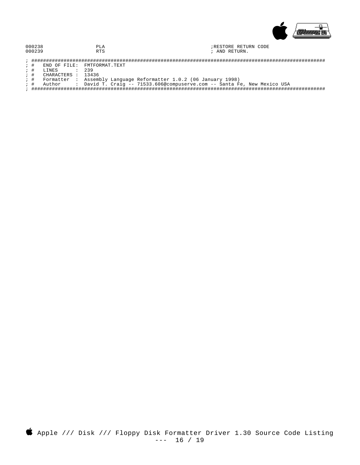

| 000238 | ப   | RESTORE RETURN CODE |
|--------|-----|---------------------|
| 000239 | החת | : AND RETURN.       |

- 
-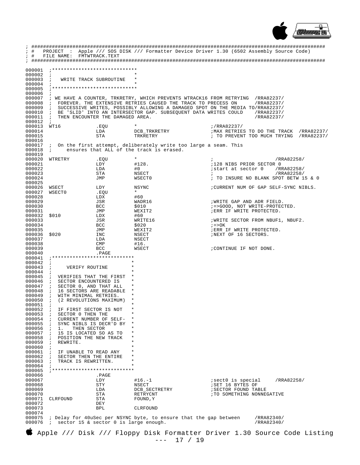

| $;$ #                                                           | PROJECT                                                                         |                                                   |                                                                                                                                                | : Apple /// SOS DISK /// Formatter Device Driver 1.30 (6502 Assembly Source Code) |  |
|-----------------------------------------------------------------|---------------------------------------------------------------------------------|---------------------------------------------------|------------------------------------------------------------------------------------------------------------------------------------------------|-----------------------------------------------------------------------------------|--|
| ; #                                                             | FILE NAME:                                                                      | FMTWTRACK.TEXT                                    |                                                                                                                                                |                                                                                   |  |
| 000001<br>000002                                                |                                                                                 |                                                   |                                                                                                                                                |                                                                                   |  |
| 000003                                                          | $\ddot{i}$<br>$\ddot{i}$                                                        | WRITE TRACK SUBROUTINE                            |                                                                                                                                                |                                                                                   |  |
| 000004                                                          |                                                                                 |                                                   |                                                                                                                                                |                                                                                   |  |
| 000005<br>000006                                                |                                                                                 |                                                   |                                                                                                                                                |                                                                                   |  |
| 000007                                                          |                                                                                 |                                                   | ; WE HAVE A COUNTER, TRKRETRY, WHICH PREVENTS WTRACK16 FROM RETRYING                                                                           | /RRA82237/                                                                        |  |
| 000008<br>000009                                                | $\mathcal{L}$<br>$\ddot{i}$                                                     |                                                   | FOREVER. THE EXTENSIVE RETRIES CAUSED THE TRACK TO PRECESS ON<br>SUCCESSIVE WRITES, POSSIBLY ALLOWING A DAMAGED SPOT ON THE MEDIA TO/RRA82237/ | /RRA82237/                                                                        |  |
| 000010                                                          | $\ddot{i}$                                                                      |                                                   | BE 'SLID' INTO AN INTERSECTOR GAP. SUBSEQUENT DATA WRITES COULD                                                                                | /RRA82237/                                                                        |  |
| 000011                                                          | $\ddot{i}$                                                                      | THEN ENCOUNTER THE DAMAGED AREA.                  |                                                                                                                                                | /RRA82237/                                                                        |  |
| 000012<br>000013                                                | $\ddot{i}$<br>WT16                                                              | .EOU                                              |                                                                                                                                                | ;/RRA82237/                                                                       |  |
| 000014                                                          |                                                                                 | LDA                                               | DCB_TRKRETRY                                                                                                                                   | ; MAX RETRIES TO DO THE TRACK<br>/RRA82237/                                       |  |
| 000015<br>000016                                                |                                                                                 | STA                                               | TRKRETRY                                                                                                                                       | ; TO PREVENT TOO MUCH TRYING<br>/RRA82237/                                        |  |
| 000017                                                          | $\mathbf{i}$                                                                    |                                                   | On the first attempt, deliberately write too large a seam. This                                                                                |                                                                                   |  |
| 000018<br>000019                                                | $\ddot{ }$                                                                      |                                                   | ensures that ALL of the track is erased.                                                                                                       |                                                                                   |  |
| 000020                                                          | WTRETRY                                                                         | .EQU                                              | $\star$                                                                                                                                        | /RRA82258/<br>$\ddot{ }$                                                          |  |
| 000021<br>000022                                                |                                                                                 | LDY                                               | #128.                                                                                                                                          | ;128 NIBS PRIOR SECTOR 0                                                          |  |
| 000023                                                          |                                                                                 | LDA<br>STA                                        | #0<br>NSECT                                                                                                                                    | istart at sector 0<br>/RRA82258/<br>/RRA82258/<br>$\ddot{i}$                      |  |
| 000024                                                          |                                                                                 | JMP                                               | <b>WSECT0</b>                                                                                                                                  | ; TO INSURE NO BLANK SPOT BETW 15 & 0                                             |  |
| 000025<br>000026                                                | WSECT                                                                           | LDY                                               | NSYNC                                                                                                                                          | ; CURRENT NUM OF GAP SELF-SYNC NIBLS.                                             |  |
| 000027                                                          | <b>WSECT0</b>                                                                   | .EQU                                              | $\star$                                                                                                                                        |                                                                                   |  |
| 000028<br>000029                                                |                                                                                 | LDX<br>JSR                                        | #60<br>WADR16                                                                                                                                  | ; WRITE GAP AND ADR FIELD.                                                        |  |
| 000030                                                          |                                                                                 | BCC                                               | \$010                                                                                                                                          | ; =>GOOD, NOT WRITE-PROTECTED.                                                    |  |
| 000031<br>000032                                                | \$010                                                                           | JMP<br>LDX                                        | WEXIT2<br>#60                                                                                                                                  | ; ERR IF WRITE PROTECTED.                                                         |  |
| 000033                                                          |                                                                                 | JSR                                               | WRITE16                                                                                                                                        | WRITE SECTOR FROM NBUF1, NBUF2.                                                   |  |
| 000034                                                          |                                                                                 | <b>BCC</b>                                        | \$020                                                                                                                                          | $i = > 0K$                                                                        |  |
| 000035<br>000036                                                | \$020                                                                           | JMP<br>INC                                        | WEXIT2<br>NSECT                                                                                                                                | ; ERR IF WRITE PROTECTED.<br>;NEXT OF 16 SECTORS.                                 |  |
| 000037                                                          |                                                                                 | LDA                                               | NSECT                                                                                                                                          |                                                                                   |  |
| 000038<br>000039                                                |                                                                                 | <b>CMP</b><br><b>BCC</b>                          | #16.<br>WSECT                                                                                                                                  | ; CONTINUE IF NOT DONE.                                                           |  |
| 000040                                                          |                                                                                 | .PAGE                                             |                                                                                                                                                |                                                                                   |  |
| 000041<br>000042                                                | $\ddot{i}$                                                                      |                                                   | $\star$                                                                                                                                        |                                                                                   |  |
| 000043                                                          | $\ddot{i}$<br>VERIFY ROUTINE                                                    |                                                   |                                                                                                                                                |                                                                                   |  |
| 000044<br>000045                                                | $\ddot{i}$<br>$\ddot{i}$                                                        | VERIFIES THAT THE FIRST                           | $\star$<br>$^\ast$                                                                                                                             |                                                                                   |  |
| 000046                                                          | $\ddot{i}$                                                                      | SECTOR ENCOUNTERED IS                             | $^\star$                                                                                                                                       |                                                                                   |  |
| 000047<br>000048                                                | $\mathcal{L}$<br>$\ddot{i}$                                                     | SECTOR 0, AND THAT ALL<br>16 SECTORS ARE READABLE | $^\star$<br>$^\ast$                                                                                                                            |                                                                                   |  |
| 000049                                                          | $\ddot{i}$                                                                      | WITH MINIMAL RETRIES.                             |                                                                                                                                                |                                                                                   |  |
| 000050<br>000051                                                | $\ddot{i}$<br>$\mathcal{L}$                                                     | (2 REVOLUTIONS MAXIMUM)                           | $^\star$<br>$\star$                                                                                                                            |                                                                                   |  |
| 000052                                                          |                                                                                 | IF FIRST SECTOR IS NOT                            |                                                                                                                                                |                                                                                   |  |
| 000053                                                          | SECTOR 0 THEN THE                                                               | CURRENT NUMBER OF SELF-                           | $\star$<br>$^\ast$                                                                                                                             |                                                                                   |  |
| 000054<br>000055                                                |                                                                                 | SYNC NIBLS IS DECR'D BY                           | $^\ast$                                                                                                                                        |                                                                                   |  |
| 000056                                                          | 1.<br>$\ddot{i}$                                                                | THEN SECTOR                                       | $\star$<br>$^\star$                                                                                                                            |                                                                                   |  |
| 000057<br>000058                                                | $\ddot{i}$                                                                      | 15 IS LOCATED SO AS TO<br>POSITION THE NEW TRACK  | $^\ast$                                                                                                                                        |                                                                                   |  |
| 000059                                                          | REWRITE.                                                                        |                                                   | $\star$<br>$\star$                                                                                                                             |                                                                                   |  |
| 000060<br>000061                                                | $\ddot{ }$                                                                      | IF UNABLE TO READ ANY                             | $\star$                                                                                                                                        |                                                                                   |  |
| 000062                                                          | $\ddot{i}$                                                                      | SECTOR THEN THE ENTIRE                            | *                                                                                                                                              |                                                                                   |  |
| 000063<br>000064                                                | TRACK IS REWRITTEN.<br>$\ddot{i}$                                               |                                                   | $\star$<br>$\star$                                                                                                                             |                                                                                   |  |
| 000065                                                          |                                                                                 |                                                   |                                                                                                                                                |                                                                                   |  |
| 000066<br>000067                                                |                                                                                 | .PAGE<br>LDY                                      | $#16.-1$                                                                                                                                       | /RRA82258/<br>isect0 is special                                                   |  |
| 000068                                                          |                                                                                 | STY                                               | NSECT                                                                                                                                          | ; SET 16 BYTES OF                                                                 |  |
| 000069<br>000070                                                |                                                                                 | LDA                                               | DCB_SECTRETRY                                                                                                                                  | ; SECTOR FOUND TABLE<br>TO SOMETHING NONNEGATIVE                                  |  |
| 000071                                                          | CLRFOUND                                                                        | STA<br>STA                                        | RETRYCNT<br>FOUND, Y                                                                                                                           |                                                                                   |  |
| 000072                                                          |                                                                                 | DEY                                               |                                                                                                                                                |                                                                                   |  |
| 000073<br>000074                                                |                                                                                 | <b>BPL</b>                                        | CLRFOUND                                                                                                                                       |                                                                                   |  |
| 000075                                                          | ; Delay for 40uSec per NSYNC byte, to ensure that the gap between<br>/RRA82340/ |                                                   |                                                                                                                                                |                                                                                   |  |
| 000076<br>; sector 15 & sector 0 is large enough.<br>/RRA82340/ |                                                                                 |                                                   |                                                                                                                                                |                                                                                   |  |
|                                                                 | Apple /// Disk /// Floppy Disk Formatter Driver 1.30 Source Code Listing        |                                                   |                                                                                                                                                |                                                                                   |  |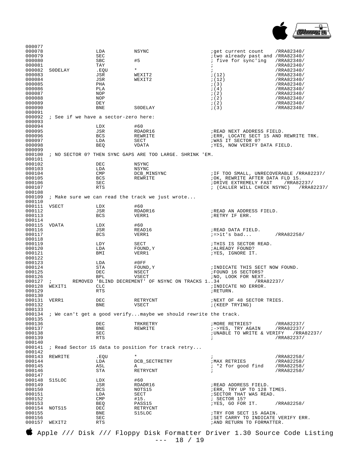

| 000077           |                                      |                   |                                                                          |                                                                      |                          |
|------------------|--------------------------------------|-------------------|--------------------------------------------------------------------------|----------------------------------------------------------------------|--------------------------|
| 000078           |                                      | LDA               | NSYNC                                                                    | iget current count                                                   | /RRA82340/               |
| 000079<br>000080 |                                      | SEC<br>SBC        | #5                                                                       | itwo already past and /RRA82340/<br>; five for sync'ing              | /RRA82340/               |
| 000081           |                                      | TAY               |                                                                          | $\cdot$                                                              | /RRA82340/               |
| 000082           | SODELAY                              | .EQU              | $\star$                                                                  | $\ddot{i}$                                                           | /RRA82340/               |
| 000083           |                                      | JSR               | WEXIT2                                                                   | ; (12)                                                               | /RRA82340/               |
| 000084           |                                      | JSR               | WEXIT2                                                                   | ; (12)                                                               | /RRA82340/               |
| 000085<br>000086 |                                      | PHA<br>PLA        |                                                                          | ; (3)<br>; (4)                                                       | /RRA82340/<br>/RRA82340/ |
| 000087           |                                      | NOP               |                                                                          | ; (2)                                                                | /RRA82340/               |
| 000088           |                                      | NOP               |                                                                          | ; (2)                                                                | /RRA82340/               |
| 000089           |                                      | DEY               |                                                                          | ; (2)                                                                | /RRA82340/               |
| 000090<br>000091 |                                      | BNE               | SODELAY                                                                  | ; (3)                                                                | /RRA82340/               |
| 000092           | ; See if we have a sector-zero here: |                   |                                                                          |                                                                      |                          |
| 000093           |                                      |                   |                                                                          |                                                                      |                          |
| 000094           |                                      | LDX               | #60                                                                      |                                                                      |                          |
| 000095<br>000096 |                                      | JSR<br><b>BCS</b> | RDADR16<br>REWRITE                                                       | ; READ NEXT ADDRESS FIELD.<br>; ERR, LOCATE SECT 15 AND REWRITE TRK. |                          |
| 000097           |                                      | LDA               | SECT                                                                     | ; WAS IT SECTOR 0?                                                   |                          |
| 000098           |                                      | <b>BEQ</b>        | VDATA                                                                    | ; YES, NOW VERIFY DATA FIELD.                                        |                          |
| 000099           |                                      |                   |                                                                          |                                                                      |                          |
| 000100<br>000101 |                                      |                   | ; NO SECTOR 0? THEN SYNC GAPS ARE TOO LARGE. SHRINK 'EM.                 |                                                                      |                          |
| 000102           |                                      | DEC               | NSYNC                                                                    |                                                                      |                          |
| 000103           |                                      | LDA               | NSYNC                                                                    |                                                                      |                          |
| 000104           |                                      | CMP               | DCB_MINSYNC                                                              | ; IF TOO SMALL, UNRECOVERABLE /RRA82237/                             |                          |
| 000105           |                                      | BCS               | REWRITE                                                                  | ; OK, REWRITE AFTER DATA FLD 15.<br>; DRIVE EXTREMELY FAST           |                          |
| 000106<br>000107 |                                      | SEC<br>RTS        |                                                                          | ; (CALLER WILL CHECK NSYNC)                                          | /RRA82237/<br>/RRA82237/ |
| 000108           |                                      |                   |                                                                          |                                                                      |                          |
| 000109           |                                      |                   | ; Make sure we can read the track we just wrote                          |                                                                      |                          |
| 000110<br>000111 | VSECT                                | LDX               | #60                                                                      |                                                                      |                          |
| 000112           |                                      | JSR               | RDADR16                                                                  | ; READ AN ADDRESS FIELD.                                             |                          |
| 000113           |                                      | <b>BCS</b>        | VERR1                                                                    | ; RETRY IF ERR.                                                      |                          |
| 000114           |                                      |                   |                                                                          |                                                                      |                          |
| 000115<br>000116 | VDATA                                | LDX<br>JSR        | #60<br>READ16                                                            | ; READ DATA FIELD.                                                   |                          |
| 000117           |                                      | BCS               | VERR1                                                                    | $i =$ >it's bad                                                      | /RRA82258/               |
| 000118           |                                      |                   |                                                                          |                                                                      |                          |
| 000119           |                                      | LDY               | SECT                                                                     | THIS IS SECTOR READ.                                                 |                          |
| 000120<br>000121 |                                      | LDA<br>BMI        | FOUND, Y<br>VERR1                                                        | ; ALREADY FOUND?<br>;YES, IGNORE IT.                                 |                          |
| 000122           |                                      |                   |                                                                          |                                                                      |                          |
| 000123           |                                      | LDA               | #0FF                                                                     |                                                                      |                          |
| 000124           |                                      | STA               | FOUND, Y                                                                 | ; INDICATE THIS SECT NOW FOUND.                                      |                          |
| 000125<br>000126 |                                      | DEC<br><b>BPL</b> | NSECT<br>VSECT                                                           | FOUND 16 SECTORS?<br>; NO, LOOK FOR NEXT.                            |                          |
| 000127           | $\ddot{i}$                           |                   | REMOVED 'BLIND DECREMENT' OF NSYNC ON TRACKS 134                         | /RRA82237/                                                           |                          |
| 000128           | WEXIT1                               | CLC               |                                                                          | ; INDICATE NO ERROR.                                                 |                          |
| 000129           |                                      | <b>RTS</b>        |                                                                          | ; RETURN.                                                            |                          |
| 000130<br>000131 | VERR1                                | DEC               | RETRYCNT                                                                 | INEXT OF 48 SECTOR TRIES.                                            |                          |
| 000132           |                                      | BNE               | VSECT                                                                    | ; (KEEP TRYING)                                                      |                          |
| 000133           |                                      |                   |                                                                          |                                                                      |                          |
| 000134<br>000135 |                                      |                   | ; We can't get a good verify maybe we should rewrite the track.          |                                                                      |                          |
| 000136           |                                      | DEC               | TRKRETRY                                                                 | /MORE RETRIES?                                                       | /RRA82237/               |
| 000137           |                                      | BNE               | REWRITE                                                                  | ;->YES, TRY AGAIN                                                    | /RRA82237/               |
| 000138           |                                      | SEC               |                                                                          | ; UNABLE TO WRITE & VERIFY                                           | /RRA82237/<br>/RRA82237/ |
| 000139<br>000140 |                                      | RTS               |                                                                          | $\ddot{i}$                                                           |                          |
| 000141           |                                      |                   | ; Read Sector 15 data to position for track retry                        |                                                                      |                          |
| 000142           |                                      |                   |                                                                          |                                                                      |                          |
| 000143<br>000144 | REWRITE                              | .EQU<br>LDA       | DCB_SECTRETRY                                                            | $\ddot{i}$<br><b><i>IMAX RETRIES</i></b>                             | /RRA82258/<br>/RRA82258/ |
| 000145           |                                      | ASL               | Α                                                                        | ; *2 for good find                                                   | /RRA82258/               |
| 000146           |                                      | STA               | RETRYCNT                                                                 | $\ddot{i}$                                                           | /RRA82258/               |
| 000147           |                                      |                   |                                                                          |                                                                      |                          |
| 000148<br>000149 | S15LOC                               | LDX<br>JSR        | #60<br>RDADR16                                                           | ; READ ADDRESS FIELD.                                                |                          |
| 000150           |                                      | <b>BCS</b>        | NOTS15                                                                   | ; ERR, TRY UP TO 128 TIMES.                                          |                          |
| 000151           |                                      | LDA               | SECT                                                                     | ; SECTOR THAT WAS READ.                                              |                          |
| 000152           |                                      | CMP               | #15.                                                                     | ; SECTOR 15?                                                         |                          |
| 000153<br>000154 | NOTS15                               | BEQ<br>DEC        | PASS15<br>RETRYCNT                                                       | ; YES, GO FOR IT.                                                    | /RRA82258/               |
| 000155           |                                      | BNE               | S15LOC                                                                   | TRY FOR SECT 15 AGAIN.                                               |                          |
| 000156           |                                      | SEC               |                                                                          | ; SET CARRY TO INDICATE VERIFY ERR.                                  |                          |
| 000157           | WEXIT2                               | RTS               |                                                                          | ; AND RETURN TO FORMATTER.                                           |                          |
|                  |                                      |                   | Apple /// Disk /// Floppy Disk Formatter Driver 1.30 Source Code Listing |                                                                      |                          |